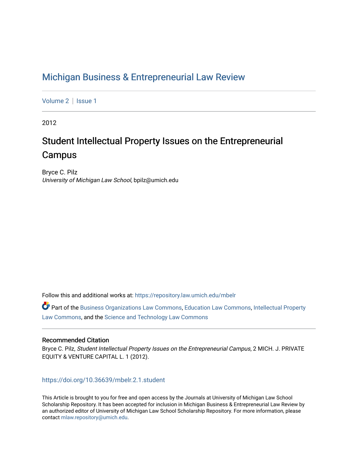# [Michigan Business & Entrepreneurial Law Review](https://repository.law.umich.edu/mbelr)

[Volume 2](https://repository.law.umich.edu/mbelr/vol2) | Issue 1

2012

# Student Intellectual Property Issues on the Entrepreneurial Campus

Bryce C. Pilz University of Michigan Law School, bpilz@umich.edu

Follow this and additional works at: [https://repository.law.umich.edu/mbelr](https://repository.law.umich.edu/mbelr?utm_source=repository.law.umich.edu%2Fmbelr%2Fvol2%2Fiss1%2F1&utm_medium=PDF&utm_campaign=PDFCoverPages)

Part of the [Business Organizations Law Commons](http://network.bepress.com/hgg/discipline/900?utm_source=repository.law.umich.edu%2Fmbelr%2Fvol2%2Fiss1%2F1&utm_medium=PDF&utm_campaign=PDFCoverPages), [Education Law Commons](http://network.bepress.com/hgg/discipline/596?utm_source=repository.law.umich.edu%2Fmbelr%2Fvol2%2Fiss1%2F1&utm_medium=PDF&utm_campaign=PDFCoverPages), [Intellectual Property](http://network.bepress.com/hgg/discipline/896?utm_source=repository.law.umich.edu%2Fmbelr%2Fvol2%2Fiss1%2F1&utm_medium=PDF&utm_campaign=PDFCoverPages)  [Law Commons,](http://network.bepress.com/hgg/discipline/896?utm_source=repository.law.umich.edu%2Fmbelr%2Fvol2%2Fiss1%2F1&utm_medium=PDF&utm_campaign=PDFCoverPages) and the [Science and Technology Law Commons](http://network.bepress.com/hgg/discipline/875?utm_source=repository.law.umich.edu%2Fmbelr%2Fvol2%2Fiss1%2F1&utm_medium=PDF&utm_campaign=PDFCoverPages) 

#### Recommended Citation

Bryce C. Pilz, Student Intellectual Property Issues on the Entrepreneurial Campus, 2 MICH. J. PRIVATE EQUITY & VENTURE CAPITAL L. 1 (2012).

<https://doi.org/10.36639/mbelr.2.1.student>

This Article is brought to you for free and open access by the Journals at University of Michigan Law School Scholarship Repository. It has been accepted for inclusion in Michigan Business & Entrepreneurial Law Review by an authorized editor of University of Michigan Law School Scholarship Repository. For more information, please contact [mlaw.repository@umich.edu](mailto:mlaw.repository@umich.edu).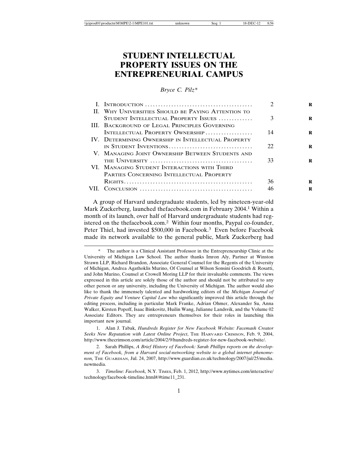## **STUDENT INTELLECTUAL PROPERTY ISSUES ON THE ENTREPRENEURIAL CAMPUS**

#### *Bryce C. Pilz\**

| I. INTRODUCTION $\ldots \ldots \ldots \ldots \ldots \ldots \ldots \ldots \ldots \ldots \ldots \ldots$ |    |  |
|-------------------------------------------------------------------------------------------------------|----|--|
| II. WHY UNIVERSITIES SHOULD BE PAYING ATTENTION TO                                                    |    |  |
| STUDENT INTELLECTUAL PROPERTY ISSUES                                                                  | 3  |  |
| III. BACKGROUND OF LEGAL PRINCIPLES GOVERNING                                                         |    |  |
| INTELLECTUAL PROPERTY OWNERSHIP                                                                       | 14 |  |
| IV. DETERMINING OWNERSHIP IN INTELLECTUAL PROPERTY                                                    |    |  |
| IN STUDENT INVENTIONS                                                                                 | 22 |  |
| V. MANAGING JOINT OWNERSHIP BETWEEN STUDENTS AND                                                      |    |  |
|                                                                                                       | 33 |  |
| VI. MANAGING STUDENT INTERACTIONS WITH THIRD                                                          |    |  |
| PARTIES CONCERNING INTELLECTUAL PROPERTY                                                              |    |  |
|                                                                                                       | 36 |  |
|                                                                                                       | 46 |  |
|                                                                                                       |    |  |

A group of Harvard undergraduate students, led by nineteen-year-old Mark Zuckerberg, launched thefacebook.com in February 2004.<sup>1</sup> Within a month of its launch, over half of Harvard undergraduate students had registered on the thefacebook.com.2 Within four months, Paypal co-founder, Peter Thiel, had invested \$500,000 in Facebook.<sup>3</sup> Even before Facebook made its network available to the general public, Mark Zuckerberg had

1. Alan J. Tabak, *Hundreds Register for New Facebook Website: Facemash Creator Seeks New Reputation with Latest Online Project*, THE HARVARD CRIMSON, Feb. 9, 2004, http://www.thecrimson.com/article/2004/2/9/hundreds-register-for-new-facebook-website/.

2. Sarah Phillips, *A Brief History of Facebook: Sarah Phillips reports on the development of Facebook, from a Harvard social-networking website to a global internet phenomenon,* THE GUARDIAN, Jul. 24, 2007, http://www.guardian.co.uk/technology/2007/jul/25/media. newmedia.

The author is a Clinical Assistant Professor in the Entrepreneurship Clinic at the University of Michigan Law School. The author thanks Imron Aly, Partner at Winston Strawn LLP, Richard Brandon, Associate General Counsel for the Regents of the University of Michigan, Andrea Agathoklis Murino, Of Counsel at Wilson Sonsini Goodrich & Rosatti, and John Murino, Counsel at Crowell Moring LLP for their invaluable comments. The views expressed in this article are solely those of the author and should not be attributed to any other person or any university, including the University of Michigan. The author would also like to thank the immensely talented and hardworking editors of the *Michigan Journal of Private Equity and Venture Capital Law* who significantly improved this article through the editing process, including in particular Mark Franke, Adrian Ohmer, Alexander Su, Anna Walker, Kirsten Popoff, Isaac Binkovitz, Huilin Wang, Julianne Landsvik, and the Volume 02 Associate Editors. They are entrepreneurs themselves for their roles in launching this important new journal.

<sup>3.</sup> *Timeline: Facebook,* N.Y. TIMES, Feb. 1, 2012, http://www.nytimes.com/interactive/ technology/facebook-timeline.html#/#time11\_231.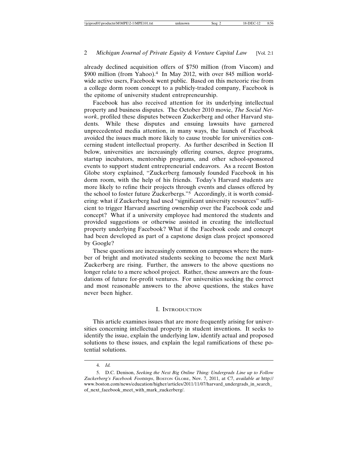already declined acquisition offers of \$750 million (from Viacom) and \$900 million (from Yahoo).<sup>4</sup> In May 2012, with over 845 million worldwide active users, Facebook went public. Based on this meteoric rise from a college dorm room concept to a publicly-traded company, Facebook is the epitome of university student entrepreneurship.

Facebook has also received attention for its underlying intellectual property and business disputes. The October 2010 movie, *The Social Network*, profiled these disputes between Zuckerberg and other Harvard students. While these disputes and ensuing lawsuits have garnered unprecedented media attention, in many ways, the launch of Facebook avoided the issues much more likely to cause trouble for universities concerning student intellectual property. As further described in Section II below, universities are increasingly offering courses, degree programs, startup incubators, mentorship programs, and other school-sponsored events to support student entrepreneurial endeavors. As a recent Boston Globe story explained, "Zuckerberg famously founded Facebook in his dorm room, with the help of his friends. Today's Harvard students are more likely to refine their projects through events and classes offered by the school to foster future Zuckerbergs."5 Accordingly, it is worth considering: what if Zuckerberg had used "significant university resources" sufficient to trigger Harvard asserting ownership over the Facebook code and concept? What if a university employee had mentored the students and provided suggestions or otherwise assisted in creating the intellectual property underlying Facebook? What if the Facebook code and concept had been developed as part of a capstone design class project sponsored by Google?

These questions are increasingly common on campuses where the number of bright and motivated students seeking to become the next Mark Zuckerberg are rising. Further, the answers to the above questions no longer relate to a mere school project. Rather, these answers are the foundations of future for-profit ventures. For universities seeking the correct and most reasonable answers to the above questions, the stakes have never been higher.

#### I. INTRODUCTION

This article examines issues that are more frequently arising for universities concerning intellectual property in student inventions. It seeks to identify the issue, explain the underlying law, identify actual and proposed solutions to these issues, and explain the legal ramifications of these potential solutions.

<sup>4.</sup> *Id.*

<sup>5.</sup> D.C. Denison, *Seeking the Next Big Online Thing: Undergrads Line up to Follow Zuckerberg's Facebook Footsteps*, BOSTON GLOBE, Nov. 7, 2011, at C7, *available at* http:// www.boston.com/news/education/higher/articles/2011/11/07/harvard\_undergrads\_in\_search\_ of\_next\_facebook\_meet\_with\_mark\_zuckerberg/.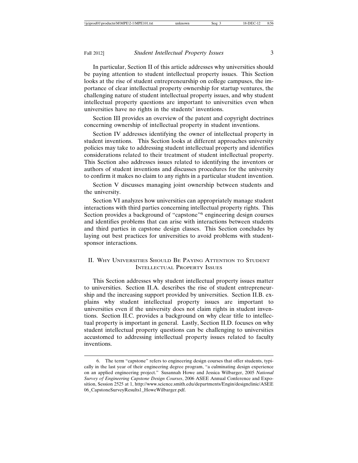In particular, Section II of this article addresses why universities should be paying attention to student intellectual property issues. This Section looks at the rise of student entrepreneurship on college campuses, the importance of clear intellectual property ownership for startup ventures, the challenging nature of student intellectual property issues, and why student intellectual property questions are important to universities even when universities have no rights in the students' inventions.

Section III provides an overview of the patent and copyright doctrines concerning ownership of intellectual property in student inventions.

Section IV addresses identifying the owner of intellectual property in student inventions. This Section looks at different approaches university policies may take to addressing student intellectual property and identifies considerations related to their treatment of student intellectual property. This Section also addresses issues related to identifying the inventors or authors of student inventions and discusses procedures for the university to confirm it makes no claim to any rights in a particular student invention.

Section V discusses managing joint ownership between students and the university.

Section VI analyzes how universities can appropriately manage student interactions with third parties concerning intellectual property rights. This Section provides a background of "capstone"<sup>6</sup> engineering design courses and identifies problems that can arise with interactions between students and third parties in capstone design classes. This Section concludes by laying out best practices for universities to avoid problems with studentsponsor interactions.

#### II. WHY UNIVERSITIES SHOULD BE PAYING ATTENTION TO STUDENT INTELLECTUAL PROPERTY ISSUES

This Section addresses why student intellectual property issues matter to universities. Section II.A. describes the rise of student entrepreneurship and the increasing support provided by universities. Section II.B. explains why student intellectual property issues are important to universities even if the university does not claim rights in student inventions. Section II.C. provides a background on why clear title to intellectual property is important in general. Lastly, Section II.D. focuses on why student intellectual property questions can be challenging to universities accustomed to addressing intellectual property issues related to faculty inventions.

<sup>6.</sup> The term "capstone" refers to engineering design courses that offer students, typically in the last year of their engineering degree program, "a culminating design experience on an applied engineering project." Susannah Howe and Jessica Wilbarger, 2005 *National Survey of Engineering Capstone Design Courses*, 2006 ASEE Annual Conference and Exposition, Session 2525 at 1, http://www.science.smith.edu/departments/Engin/designclinic/ASEE 06\_CapstoneSurveyResults1\_HoweWilbarger.pdf.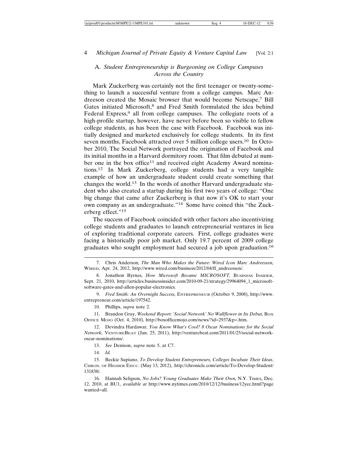#### A. *Student Entrepreneurship is Burgeoning on College Campuses Across the Country*

Mark Zuckerberg was certainly not the first teenager or twenty-something to launch a successful venture from a college campus. Marc Andreeson created the Mosaic browser that would become Netscape,7 Bill Gates initiated Microsoft,<sup>8</sup> and Fred Smith formulated the idea behind Federal Express,<sup>9</sup> all from college campuses. The collegiate roots of a high-profile startup, however, have never before been so visible to fellow college students, as has been the case with Facebook. Facebook was initially designed and marketed exclusively for college students. In its first seven months, Facebook attracted over 5 million college users.10 In October 2010, The Social Network portrayed the origination of Facebook and its initial months in a Harvard dormitory room. That film debuted at number one in the box office<sup>11</sup> and received eight Academy Award nominations.12 In Mark Zuckerberg, college students had a very tangible example of how an undergraduate student could create something that changes the world.13 In the words of another Harvard undergraduate student who also created a startup during his first two years of college: "One big change that came after Zuckerberg is that now it's OK to start your own company as an undergraduate."14 Some have coined this "the Zuckerberg effect."15

The success of Facebook coincided with other factors also incentivizing college students and graduates to launch entrepreneurial ventures in lieu of exploring traditional corporate careers. First, college graduates were facing a historically poor job market. Only 19.7 percent of 2009 college graduates who sought employment had secured a job upon graduation.<sup>16</sup>

- 8. Jonathon Byrnes, *How Microsoft Became MICROSOFT*, BUSINESS INSIDER, Sept. 21, 2010, http://articles.businessinsider.com/2010-09-21/strategy/29964094\_1\_microsoftsoftware-gates-and-allen-popular-electronics.
- 9. *Fred Smith: An Overnight Success,* ENTREPRENEUR (October 9, 2008), http://www. entrepreneur.com/article/197542.
	- 10. Phillips, *supra* note 2.

11. Brandon Gray, Weekend Report: 'Social Network' No Wallflower in Its Debut, Box OFFICE MOJO (Oct. 4, 2010), http://boxofficemojo.com/news/?id=2937&p=.htm.

12. Devindra Hardawar, *You Know What's Cool? 8 Oscar Nominations for the Social Network,* VENTUREBEAT (Jan. 25, 2011), http://venturebeat.com/2011/01/25/social-networkoscar-nominations/.

13. *See* Denison, *supra* note 5, at C7.

14. *Id.*

15. Beckie Supiano, *To Develop Student Entrepreneurs, Colleges Incubate Their Ideas*, CHRON. OF HIGHER EDUC. (May 13, 2012), http://chronicle.com/article/To-Develop-Student/ 131838/.

16. Hannah Seligson, *No Jobs? Young Graduates Make Their Own,* N.Y. TIMES, Dec. 12, 2010, at BU1, *available at* http://www.nytimes.com/2010/12/12/business/12yec.html?page wanted=all.

<sup>7.</sup> Chris Anderson, *The Man Who Makes the Future: Wired Icon Marc Andreessen,* WIRED, Apr. 24, 2012, http://www.wired.com/business/2012/04/ff\_andreessen/.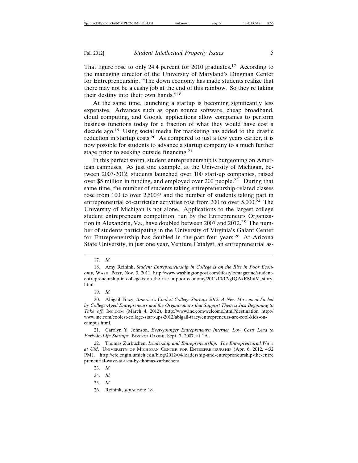That figure rose to only 24.4 percent for 2010 graduates.<sup>17</sup> According to the managing director of the University of Maryland's Dingman Center for Entrepreneurship, "The down economy has made students realize that there may not be a cushy job at the end of this rainbow. So they're taking their destiny into their own hands."18

At the same time, launching a startup is becoming significantly less expensive. Advances such as open source software, cheap broadband, cloud computing, and Google applications allow companies to perform business functions today for a fraction of what they would have cost a decade ago.19 Using social media for marketing has added to the drastic reduction in startup costs.20 As compared to just a few years earlier, it is now possible for students to advance a startup company to a much further stage prior to seeking outside financing.21

In this perfect storm, student entrepreneurship is burgeoning on American campuses. As just one example, at the University of Michigan, between 2007-2012, students launched over 100 start-up companies, raised over \$5 million in funding, and employed over 200 people.22 During that same time, the number of students taking entrepreneurship-related classes rose from 100 to over 2,50023 and the number of students taking part in entrepreneurial co-curricular activities rose from 200 to over 5,000.<sup>24</sup> The University of Michigan is not alone. Applications to the largest college student entrepreneurs competition, run by the Entrepreneurs Organization in Alexandria, Va., have doubled between 2007 and 2012.25 The number of students participating in the University of Virginia's Galant Center for Entrepreneurship has doubled in the past four years.<sup>26</sup> At Arizona State University, in just one year, Venture Catalyst, an entrepreneurial as-

19. *Id.*

20. Abigail Tracy, *America's Coolest College Startups 2012: A New Movement Fueled by College-Aged Entrepreneurs and the Organizations that Support Them is Just Beginning to Take off,* INC.COM (March 4, 2012), http://www.inc.com/welcome.html?destination=http:// www.inc.com/coolest-college-start-ups-2012/abigail-tracy/entrepreneurs-are-cool-kids-oncampus.html.

21. Carolyn Y. Johnson, *Ever-younger Entrepreneurs: Internet, Low Costs Lead to Early-in-Life Startups,* BOSTON GLOBE, Sept. 7, 2007, at 1A.

22. Thomas Zurbuchen, *Leadership and Entrepreneurship: The Entrepreneurial Wave at UM,* UNIVERSITY OF MICHIGAN CENTER FOR ENTREPRENEURSHIP (Apr. 6, 2012, 4:32 PM), http://cfe.engin.umich.edu/blog/2012/04/leadership-and-entrepreneurship-the-entre preneurial-wave-at-u-m-by-thomas-zurbuchen/.

23. *Id.*

24. *Id.*

25. *Id.*

<sup>17.</sup> *Id.*

<sup>18.</sup> Amy Reinink, *Student Entrepreneurship in College is on the Rise in Poor Economy,* WASH. POST, Nov. 3, 2011, http://www.washingtonpost.com/lifestyle/magazine/studententrepreneurship-in-college-is-on-the-rise-in-poor-economy/2011/10/17/gIQAxEMuiM\_story. html.

<sup>26.</sup> Reinink, *supra* note 18.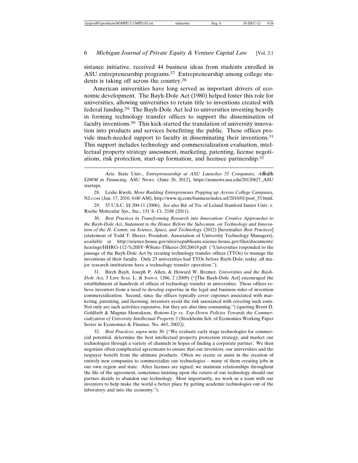sistance initiative, received 44 business ideas from students enrolled in ASU entrepreneurship programs.27 Entrepreneurship among college students is taking off across the country.28

American universities have long served as important drivers of economic development. The Bayh-Dole Act (1980) helped foster this role for universities, allowing universities to retain title to inventions created with federal funding.29 The Bayh-Dole Act led to universities investing heavily in forming technology transfer offices to support the dissemination of faculty inventions.30 This kick-started the translation of university innovation into products and services benefitting the public. These offices provide much-needed support to faculty in disseminating their inventions.<sup>31</sup> This support includes technology and commercialization evaluation, intellectual property strategy assessment, marketing, patenting, license negotiations, risk protection, start-up formation, and licensee partnership.32

28. Leslie Kwoh, *More Budding Entrepreneurs Popping up Across College Campuses,* NJ.COM (Jan. 17, 2010, 6:00 AM), http://www.nj.com/business/index.ssf/2010/01/post\_53.html.

29. 35 U.S.C. §§ 200-11 (2006). *See also* Bd. of Trs. of Leland Stanford Junior Univ. v. Roche Molecular Sys., Inc., 131 S. Ct. 2188 (2011).

30. *Best Practices in Transforming Research into Innovation: Creative Approaches to the Bayh-Dole Act*, *Statement to the House Before the Subcomm. on Technology and Innovation of the H. Comm. on Science, Space, and Technology* (2012) [hereinafter *Best Practices*] (statement of Todd T. Sherer, President, Association of University Technology Managers), *available at* http://science.house.gov/sites/republicans.science.house.gov/files/documents/ hearings/HHRG-112-%20SY-WState-TSherer-20120619.pdf ("Universities responded to the passage of the Bayh-Dole Act by creating technology transfer offices (TTOs) to manage the inventions of their faculty. Only 23 universities had TTOs before Bayh-Dole; today, all major research institutions have a technology transfer operation.").

31. Birch Bayh, Joseph P. Allen, & Howard W. Bremer*, Universities and the Bayh-Dole Act*, 3 LIFE SCIS. L. & INDUS. 1266, 2 (2009) ("[The Bayh-Dole Act] encouraged the establishment of hundreds of offices of technology transfer at universities. These offices relieve inventors from a need to develop expertise in the legal and business sides of invention commercialization. Second, since the offices typically cover expenses associated with marketing, patenting, and licensing, inventors avoid the risk associated with covering such costs. Not only are such activities expensive, but they are also time consuming.") (quoting Brent D. Goldfarb & Magnus Henrekson, *Bottom-Up vs. Top-Down Policies Towards the Commercialization of University Intellectual Property* 2 (Stockholm Sch. of Economics Working Paper Series in Economics & Finance, No. 463, 2002)).

32. *Best Practices*, *supra* note 30 ("We evaluate early stage technologies for commercial potential, determine the best intellectual property protection strategy, and market our technologies through a variety of channels in hopes of finding a corporate partner. We then negotiate often complicated agreements to ensure that our inventors, our universities and the taxpayer benefit from the ultimate products. Often we create or assist in the creation of entirely new companies to commercialize our technologies – many of them creating jobs in our own region and state. After licenses are signed, we maintain relationships throughout the life of the agreement, sometimes insisting upon the return of our technology should our partner decide to abandon our technology. Most importantly, we work as a team with our inventors to help make the world a better place by getting academic technologies out of the laboratory and into the economy.").

Ariz. State Univ., *Entrepreneurship at ASU Launches 55 Companies, Attality \$200M in Financing*, ASU NEWS (June 26, 2012), https://asunews.asu.edu/20120627\_ASU startups.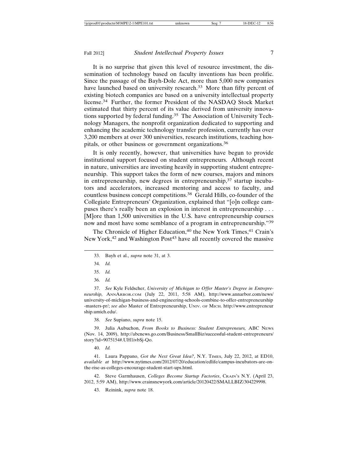It is no surprise that given this level of resource investment, the dissemination of technology based on faculty inventions has been prolific. Since the passage of the Bayh-Dole Act, more than 5,000 new companies have launched based on university research.<sup>33</sup> More than fifty percent of existing biotech companies are based on a university intellectual property license.34 Further, the former President of the NASDAQ Stock Market estimated that thirty percent of its value derived from university innovations supported by federal funding.35 The Association of University Technology Managers, the nonprofit organization dedicated to supporting and enhancing the academic technology transfer profession, currently has over 3,200 members at over 300 universities, research institutions, teaching hospitals, or other business or government organizations.36

It is only recently, however, that universities have begun to provide institutional support focused on student entrepreneurs. Although recent in nature, universities are investing heavily in supporting student entrepreneurship. This support takes the form of new courses, majors and minors in entrepreneurship, new degrees in entrepreneurship,<sup>37</sup> startup incubators and accelerators, increased mentoring and access to faculty, and countless business concept competitions.38 Gerald Hills, co-founder of the Collegiate Entrepreneurs' Organization, explained that "[o]n college campuses there's really been an explosion in interest in entrepreneurship . . . [M]ore than 1,500 universities in the U.S. have entrepreneurship courses now and most have some semblance of a program in entrepreneurship."39

The Chronicle of Higher Education,<sup>40</sup> the New York Times,<sup>41</sup> Crain's New York,<sup>42</sup> and Washington Post<sup>43</sup> have all recently covered the massive

36. *Id.*

37. *See* Kyle Feldscher, *University of Michigan to Offer Master's Degree in Entrepreneurship,* ANNARBOR.COM (July 22, 2011, 5:58 AM), http://www.annarbor.com/news/ university-of-michigan-business-and-engineering-schools-combine-to-offer-entrepreneurship -masters-pr/; *see also* Master of Entrepreneurship, UNIV. OF MICH. http://www.entrepreneur ship.umich.edu/.

38. *See* Supiano, *supra* note 15.

39. Julia Aubuchon, *From Books to Business: Student Entrepreneurs,* ABC NEWS (Nov. 14, 2009), http://abcnews.go.com/Business/SmallBiz/successful-student-entrepreneurs/ story?id=9075154#.UH1ivbSj-Qo.

40. *Id.*

41. Laura Pappano, *Got the Next Great Idea?*, N.Y. TIMES, July 22, 2012, at ED10, *available at* http://www.nytimes.com/2012/07/20/education/edlife/campus-incubators-are-onthe-rise-as-colleges-encourage-student-start-ups.html.

42. Steve Garmhausen, *Colleges Become Startup Factories*, CRAIN'S N.Y. (April 23, 2012, 5:59 AM), http://www.crainsnewyork.com/article/20120422/SMALLBIZ/304229998.

43. Reinink, *supra* note 18.

<sup>33.</sup> Bayh et al., *supra* note 31, at 3.

<sup>34.</sup> *Id.*

<sup>35.</sup> *Id.*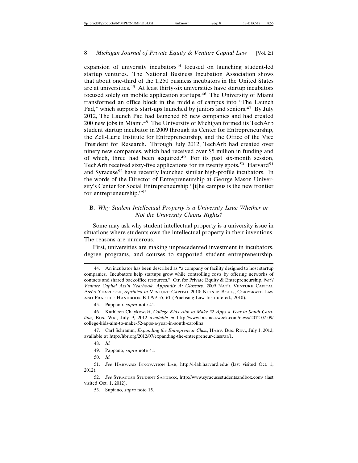expansion of university incubators<sup>44</sup> focused on launching student-led startup ventures. The National Business Incubation Association shows that about one-third of the 1,250 business incubators in the United States are at universities.45 At least thirty-six universities have startup incubators focused solely on mobile application startups.46 The University of Miami transformed an office block in the middle of campus into "The Launch Pad," which supports start-ups launched by juniors and seniors.<sup>47</sup> By July 2012, The Launch Pad had launched 65 new companies and had created 200 new jobs in Miami.48 The University of Michigan formed its TechArb student startup incubator in 2009 through its Center for Entrepreneurship, the Zell-Lurie Institute for Entrepreneurship, and the Office of the Vice President for Research. Through July 2012, TechArb had created over ninety new companies, which had received over \$5 million in funding and of which, three had been acquired.49 For its past six-month session, TechArb received sixty-five applications for its twenty spots.<sup>50</sup> Harvard<sup>51</sup> and Syracuse<sup>52</sup> have recently launched similar high-profile incubators. In the words of the Director of Entrepreneurship at George Mason University's Center for Social Entrepreneurship "[t]he campus is the new frontier for entrepreneurship."53

#### B. *Why Student Intellectual Property is a University Issue Whether or Not the University Claims Rights?*

Some may ask why student intellectual property is a university issue in situations where students own the intellectual property in their inventions. The reasons are numerous.

First, universities are making unprecedented investment in incubators, degree programs, and courses to supported student entrepreneurship.

45. Pappano, *supra* note 41.

53. Supiano, *supra* note 15.

<sup>44.</sup> An incubator has been described as "a company or facility designed to host startup companies. Incubators help startups grow while controlling costs by offering networks of contacts and shared backoffice resources." Ctr. for Private Equity & Entrepreneurship, *Nat'l Venture Capital Ass'n Yearbook, Appendix A: Glossary*, 2009 NAT'L VENTURE CAPITAL ASS'N YEARBOOK, *reprinted in* VENTURE CAPITAL 2010: NUTS & BOLTS, CORPORATE LAW AND PRACTICE HANDBOOK B-1799 55, 61 (Practising Law Institute ed., 2010).

<sup>46.</sup> Kathleen Chaykowski, *College Kids Aim to Make 52 Apps a Year in South Carolina*, BUS. WK., July 9, 2012 *available at* http://www.businessweek.com/news/2012-07-09/ college-kids-aim-to-make-52-apps-a-year-in-south-carolina.

<sup>47.</sup> Carl Schramm, *Expanding the Entrepreneur Class*, HARV. BUS. REV., July 1, 2012, available at http://hbr.org/2012/07/expanding-the-entrepreneur-class/ar/1.

<sup>48.</sup> *Id.*

<sup>49.</sup> Pappano, *supra* note 41.

<sup>50.</sup> *Id.*

<sup>51.</sup> *See* HARVARD INNOVATION LAB, http://i-lab.harvard.edu/ (last visited Oct. 1, 2012).

<sup>52.</sup> *See* SYRACUSE STUDENT SANDBOX, http://www.syracusestudentsandbox.com/ (last visited Oct. 1, 2012).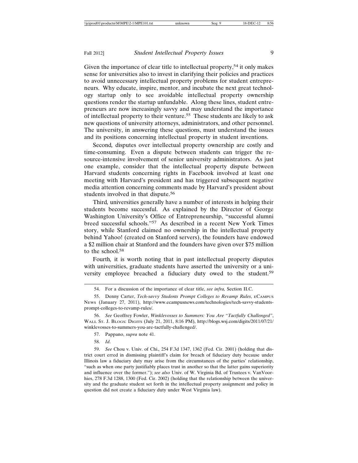Given the importance of clear title to intellectual property,<sup>54</sup> it only makes sense for universities also to invest in clarifying their policies and practices to avoid unnecessary intellectual property problems for student entrepreneurs. Why educate, inspire, mentor, and incubate the next great technology startup only to see avoidable intellectual property ownership questions render the startup unfundable. Along these lines, student entrepreneurs are now increasingly savvy and may understand the importance of intellectual property to their venture.55 These students are likely to ask new questions of university attorneys, administrators, and other personnel. The university, in answering these questions, must understand the issues and its positions concerning intellectual property in student inventions.

Second*,* disputes over intellectual property ownership are costly and time-consuming. Even a dispute between students can trigger the resource-intensive involvement of senior university administrators. As just one example, consider that the intellectual property dispute between Harvard students concerning rights in Facebook involved at least one meeting with Harvard's president and has triggered subsequent negative media attention concerning comments made by Harvard's president about students involved in that dispute.<sup>56</sup>

Third*,* universities generally have a number of interests in helping their students become successful. As explained by the Director of George Washington University's Office of Entrepreneurship, "successful alumni breed successful schools."57 As described in a recent New York Times story, while Stanford claimed no ownership in the intellectual property behind Yahoo! (created on Stanford servers), the founders have endowed a \$2 million chair at Stanford and the founders have given over \$75 million to the school.<sup>58</sup>

Fourth*,* it is worth noting that in past intellectual property disputes with universities, graduate students have asserted the university or a university employee breached a fiduciary duty owed to the student.59

56. *See* Geoffrey Fowler, *Winklevosses to Summers: You Are "Tactfully Challenged"*, WALL ST. J. BLOGS: DIGITS (July 21, 2011, 8:16 PM), http://blogs.wsj.com/digits/2011/07/21/ winklevosses-to-summers-you-are-tactfully-challenged/.

57. Pappano, *supra* note 41.

58. *Id*.

59. *See* Chou v. Univ. of Chi.*,* 254 F.3d 1347, 1362 (Fed. Cir. 2001) (holding that district court erred in dismissing plaintiff's claim for breach of fiduciary duty because under Illinois law a fiduciary duty may arise from the circumstances of the parties' relationship, "such as when one party justifiably places trust in another so that the latter gains superiority and influence over the former."); *see also* Univ. of W. Virginia Bd. of Trustees v. VanVoorhies, 278 F.3d 1288, 1300 (Fed. Cir. 2002) (holding that the relationship between the university and the graduate student set forth in the intellectual property assignment and policy in question did not create a fiduciary duty under West Virginia law).

<sup>54.</sup> For a discussion of the importance of clear title, *see infra,* Section II.C.

<sup>55.</sup> Denny Carter, *Tech-savvy Students Prompt Colleges to Revamp Rules*, ECAMPUS NEWS (January 27, 2011), http://www.ecampusnews.com/technologies/tech-savvy-studentsprompt-colleges-to-revamp-rules/.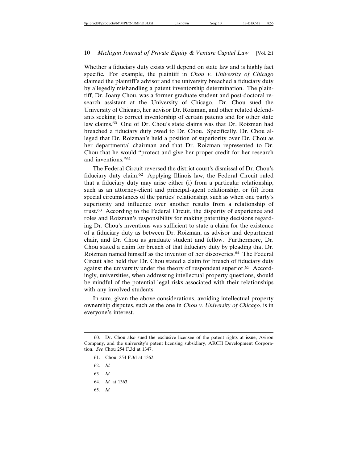Whether a fiduciary duty exists will depend on state law and is highly fact specific. For example, the plaintiff in *Chou v. University of Chicago* claimed the plaintiff's advisor and the university breached a fiduciary duty by allegedly mishandling a patent inventorship determination. The plaintiff, Dr. Joany Chou, was a former graduate student and post-doctoral research assistant at the University of Chicago. Dr. Chou sued the University of Chicago, her advisor Dr. Roizman, and other related defendants seeking to correct inventorship of certain patents and for other state law claims.60 One of Dr. Chou's state claims was that Dr. Roizman had breached a fiduciary duty owed to Dr. Chou. Specifically, Dr. Chou alleged that Dr. Roizman's held a position of superiority over Dr. Chou as her departmental chairman and that Dr. Roizman represented to Dr. Chou that he would "protect and give her proper credit for her research and inventions."61

The Federal Circuit reversed the district court's dismissal of Dr. Chou's fiduciary duty claim.62 Applying Illinois law, the Federal Circuit ruled that a fiduciary duty may arise either (i) from a particular relationship, such as an attorney-client and principal-agent relationship, or (ii) from special circumstances of the parties' relationship, such as when one party's superiority and influence over another results from a relationship of trust.63 According to the Federal Circuit, the disparity of experience and roles and Roizman's responsibility for making patenting decisions regarding Dr. Chou's inventions was sufficient to state a claim for the existence of a fiduciary duty as between Dr. Roizman, as advisor and department chair, and Dr. Chou as graduate student and fellow. Furthermore, Dr. Chou stated a claim for breach of that fiduciary duty by pleading that Dr. Roizman named himself as the inventor of her discoveries.<sup>64</sup> The Federal Circuit also held that Dr. Chou stated a claim for breach of fiduciary duty against the university under the theory of respondeat superior.<sup>65</sup> Accordingly, universities, when addressing intellectual property questions, should be mindful of the potential legal risks associated with their relationships with any involved students.

In sum, given the above considerations, avoiding intellectual property ownership disputes, such as the one in *Chou v. University of Chicago*, is in everyone's interest.

- 62. *Id.*
- 63. *Id.*
- 64. *Id.* at 1363.
- 65. *Id.*

<sup>60.</sup> Dr. Chou also sued the exclusive licensee of the patent rights at issue, Aviron Company, and the university's patent licensing subsidiary, ARCH Development Corporation. *See* Chou 254 F.3d at 1347.

<sup>61.</sup> Chou, 254 F.3d at 1362.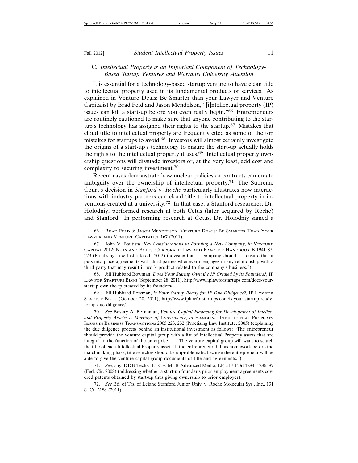#### C. *Intellectual Property is an Important Component of Technology-Based Startup Ventures and Warrants University Attention*

It is essential for a technology-based startup venture to have clean title to intellectual property used in its fundamental products or services. As explained in Venture Deals: Be Smarter than your Lawyer and Venture Capitalist by Brad Feld and Jason Mendelson, "[i]ntellectual property (IP) issues can kill a start-up before you even really begin."66 Entrepreneurs are routinely cautioned to make sure that anyone contributing to the startup's technology has assigned their rights to the startup.67 Mistakes that cloud title to intellectual property are frequently cited as some of the top mistakes for startups to avoid.68 Investors will almost certainly investigate the origins of a start-up's technology to ensure the start-up actually holds the rights to the intellectual property it uses.69 Intellectual property ownership questions will dissuade investors or, at the very least, add cost and complexity to securing investment.70

Recent cases demonstrate how unclear policies or contracts can create ambiguity over the ownership of intellectual property.71 The Supreme Court's decision in *Stanford v. Roche* particularly illustrates how interactions with industry partners can cloud title to intellectual property in inventions created at a university.72 In that case, a Stanford researcher, Dr. Holodniy, performed research at both Cetus (later acquired by Roche) and Stanford. In performing research at Cetus, Dr. Holodniy signed a

68. Jill Hubbard Bowman, *Does Your Startup Own the IP Created by its Founders?,* IP LAW FOR STARTUPS BLOG (September 28, 2011), http://www.iplawforstartups.com/does-yourstartup-own-the-ip-created-by-its-founders/.

69. Jill Hubbard Bowman, *Is Your Startup Ready for IP Due Dilligence?,* IP LAW FOR STARTUP BLOG (October 20, 2011), http://www.iplawforstartups.com/is-your-startup-readyfor-ip-due-diligence/.

70. *See* Bevery A. Berneman, *Venture Capital Financing for Development of Intellectual Property Assets: A Marriage of Convenience, in* HANDLING INTELLECTUAL PROPERTY ISSUES IN BUSINESS TRANSACTIONS 2005 223, 232 (Practising Law Institute, 2005) (explaining the due diligence process behind an institutional investment as follows: "The entrepreneur should provide the venture capital group with a list of Intellectual Property assets that are integral to the function of the enterprise. . . . The venture capital group will want to search the title of each Intellectual Property asset. If the entrepreneur did his homework before the matchmaking phase, title searches should be unproblematic because the entrepreneur will be able to give the venture capital group documents of title and agreements.").

71. *See, e.g.*, DDB Techs., LLC v. MLB Advanced Media, LP*,* 517 F.3d 1284, 1286–87 (Fed. Cir. 2008) (addressing whether a start-up founder's prior employment agreements covered patents obtained by start-up thus giving ownership to prior employer).

72. *See* Bd. of Trs. of Leland Stanford Junior Univ. v. Roche Molecular Sys., Inc., 131 S. Ct. 2188 (2011).

<sup>66.</sup> BRAD FELD & JASON MENDELSON, VENTURE DEALS: BE SMARTER THAN YOUR LAWYER AND VENTURE CAPITALIST 167 (2011).

<sup>67.</sup> John V. Bautista, *Key Considerations in Forming a New Company*, *in* VENTURE CAPITAL 2012: NUTS AND BOLTS, CORPORATE LAW AND PRACTICE HANDBOOK B-1941 87, 129 (Practising Law Institute ed., 2012) (advising that a "company should . . . ensure that it puts into place agreements with third parties whenever it engages in any relationship with a third party that may result in work product related to the company's business.").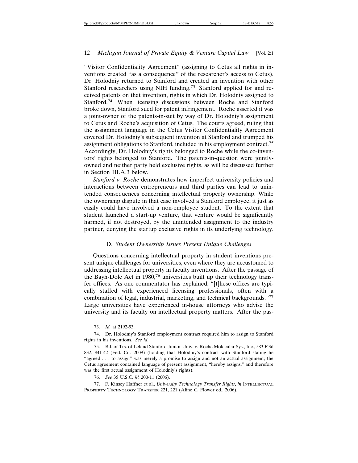"Visitor Confidentiality Agreement" (assigning to Cetus all rights in inventions created "as a consequence" of the researcher's access to Cetus). Dr. Holodniy returned to Stanford and created an invention with other Stanford researchers using NIH funding.<sup>73</sup> Stanford applied for and received patents on that invention, rights in which Dr. Holodniy assigned to Stanford.74 When licensing discussions between Roche and Stanford broke down, Stanford sued for patent infringement. Roche asserted it was a joint-owner of the patents-in-suit by way of Dr. Holodniy's assignment to Cetus and Roche's acquisition of Cetus. The courts agreed, ruling that the assignment language in the Cetus Visitor Confidentiality Agreement covered Dr. Holodniy's subsequent invention at Stanford and trumped his assignment obligations to Stanford, included in his employment contract.75 Accordingly, Dr. Holodniy's rights belonged to Roche while the co-inventors' rights belonged to Stanford. The patents-in-question were jointlyowned and neither party held exclusive rights, as will be discussed further in Section III.A.3 below.

*Stanford v. Roche* demonstrates how imperfect university policies and interactions between entrepreneurs and third parties can lead to unintended consequences concerning intellectual property ownership. While the ownership dispute in that case involved a Stanford employee, it just as easily could have involved a non-employee student. To the extent that student launched a start-up venture, that venture would be significantly harmed, if not destroyed, by the unintended assignment to the industry partner, denying the startup exclusive rights in its underlying technology.

#### D. *Student Ownership Issues Present Unique Challenges*

Questions concerning intellectual property in student inventions present unique challenges for universities, even where they are accustomed to addressing intellectual property in faculty inventions. After the passage of the Bayh-Dole Act in 1980,76 universities built up their technology transfer offices. As one commentator has explained, "[t]hese offices are typically staffed with experienced licensing professionals, often with a combination of legal, industrial, marketing, and technical backgrounds."77 Large universities have experienced in-house attorneys who advise the university and its faculty on intellectual property matters. After the pas-

76. *See* 35 U.S.C. §§ 200-11 (2006).

77. F. Kinsey Haffner et al., *University Technology Transfer Rights*, *in* INTELLECTUAL PROPERTY TECHNOLOGY TRANSFER 221, 221 (Aline C. Flower ed., 2006).

<sup>73.</sup> *Id.* at 2192-93.

<sup>74.</sup> Dr. Holodniy's Stanford employment contract required him to assign to Stanford rights in his inventions. *See id.*

<sup>75.</sup> Bd. of Trs. of Leland Stanford Junior Univ. v. Roche Molecular Sys., Inc., 583 F.3d 832, 841-42 (Fed. Cir. 2009) (holding that Holodniy's contract with Stanford stating he "agreed . . . to assign" was merely a promise to assign and not an actual assignment; the Cetus agreement contained language of present assignment, "hereby assigns," and therefore was the first actual assignment of Holodniy's rights).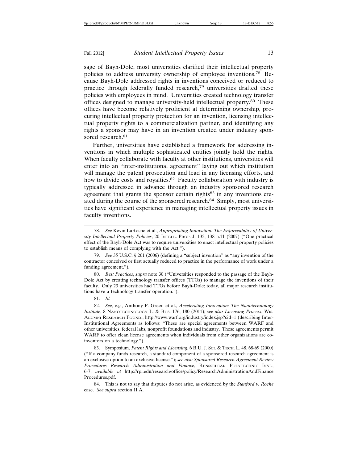sage of Bayh-Dole, most universities clarified their intellectual property policies to address university ownership of employee inventions.78 Because Bayh-Dole addressed rights in inventions conceived or reduced to practice through federally funded research,79 universities drafted these policies with employees in mind. Universities created technology transfer offices designed to manage university-held intellectual property.80 These offices have become relatively proficient at determining ownership, procuring intellectual property protection for an invention, licensing intellectual property rights to a commercialization partner, and identifying any rights a sponsor may have in an invention created under industry sponsored research.<sup>81</sup>

Further, universities have established a framework for addressing inventions in which multiple sophisticated entities jointly hold the rights. When faculty collaborate with faculty at other institutions, universities will enter into an "inter-institutional agreement" laying out which institution will manage the patent prosecution and lead in any licensing efforts, and how to divide costs and royalties.<sup>82</sup> Faculty collaboration with industry is typically addressed in advance through an industry sponsored research agreement that grants the sponsor certain rights<sup>83</sup> in any inventions created during the course of the sponsored research.84 Simply, most universities have significant experience in managing intellectual property issues in faculty inventions.

80. *Best Practices*, *supra* note 30 ("Universities responded to the passage of the Bayh-Dole Act by creating technology transfer offices (TTOs) to manage the inventions of their faculty. Only 23 universities had TTOs before Bayh-Dole; today, all major research institutions have a technology transfer operation.").

81. *Id.*

82. *See, e.g.*, Anthony P. Green et al., *Accelerating Innovation: The Nanotechnology Institute*, 8 NANOTECHNOLOGY L. & BUS. 176, 180 (2011); *see also Licensing Process*, WIS. ALUMNI RESEARCH FOUND., http://www.warf.org/industry/index.jsp?cid=1 (describing Inter-Institutional Agreements as follows: "These are special agreements between WARF and other universities, federal labs, nonprofit foundations and industry. These agreements permit WARF to offer clean license agreements when individuals from other organizations are coinventors on a technology.").

83. Symposium, *Patent Rights and Licensing*, 6 B.U. J. SCI. & TECH. L. 48, 68-69 (2000) ("If a company funds research, a standard component of a sponsored research agreement is an exclusive option to an exclusive license."); *see also Sponsored Research Agreement Review Procedures Research Administration and Finance*, RENSSELEAR POLYTECHNIC INST., 6-7, *available at* http://rpi.edu/research/office/policy/ResearchAdministrationAndFinance Procedures.pdf.

84. This is not to say that disputes do not arise, as evidenced by the *Stanford v. Roche* case. *See supra* section II.A.

<sup>78.</sup> *See* Kevin LaRoche et al., *Appropriating Innovation: The Enforceability of University Intellectual Property Policies*, 20 INTELL. PROP. J. 135, 138 n.11 (2007) ("One practical effect of the Bayh-Dole Act was to require universities to enact intellectual property policies to establish means of complying with the Act.").

<sup>79.</sup> *See* 35 U.S.C. § 201 (2006) (defining a "subject invention" as "any invention of the contractor conceived or first actually reduced to practice in the performance of work under a funding agreement.").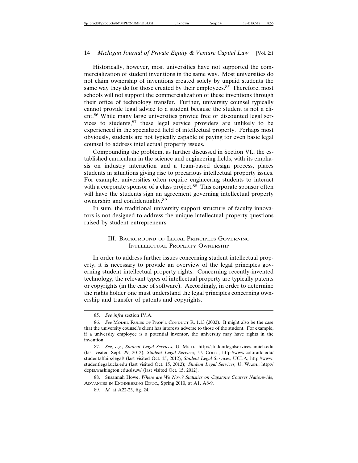Historically, however, most universities have not supported the commercialization of student inventions in the same way. Most universities do not claim ownership of inventions created solely by unpaid students the same way they do for those created by their employees.<sup>85</sup> Therefore, most schools will not support the commercialization of these inventions through their office of technology transfer. Further, university counsel typically cannot provide legal advice to a student because the student is not a client.86 While many large universities provide free or discounted legal services to students,87 these legal service providers are unlikely to be experienced in the specialized field of intellectual property. Perhaps most obviously, students are not typically capable of paying for even basic legal counsel to address intellectual property issues.

Compounding the problem, as further discussed in Section VI., the established curriculum in the science and engineering fields, with its emphasis on industry interaction and a team-based design process, places students in situations giving rise to precarious intellectual property issues. For example, universities often require engineering students to interact with a corporate sponsor of a class project.<sup>88</sup> This corporate sponsor often will have the students sign an agreement governing intellectual property ownership and confidentiality.89

In sum, the traditional university support structure of faculty innovators is not designed to address the unique intellectual property questions raised by student entrepreneurs.

#### III. BACKGROUND OF LEGAL PRINCIPLES GOVERNING INTELLECTUAL PROPERTY OWNERSHIP

In order to address further issues concerning student intellectual property, it is necessary to provide an overview of the legal principles governing student intellectual property rights. Concerning recently-invented technology, the relevant types of intellectual property are typically patents or copyrights (in the case of software). Accordingly, in order to determine the rights holder one must understand the legal principles concerning ownership and transfer of patents and copyrights.

<sup>85.</sup> *See infra* section IV.A.

<sup>86.</sup> *See* MODEL RULES OF PROF'L CONDUCT R. 1.13 (2002). It might also be the case that the university counsel's client has interests adverse to those of the student. For example, if a university employee is a potential inventor, the university may have rights in the invention.

<sup>87.</sup> *See, e.g., Student Legal Services*, U. MICH., http://studentlegalservices.umich.edu (last visited Sept. 29, 2012); *Student Legal Services,* U. COLO., http://www.colorado.edu/ studentaffairs/legal/ (last visited Oct. 15, 2012); *Student Legal Services,* UCLA, http://www. studentlegal.ucla.edu (last visited Oct. 15, 2012); *Student Legal Services,* U. WASH., http:// depts.washington.edu/slsuw/ (last visited Oct. 15, 2012).

<sup>88.</sup> Susannah Howe, *Where are We Now? Statistics on Capstone Courses Nationwide,* ADVANCES IN ENGINEERING EDUC., Spring 2010, at A1, A8-9.

<sup>89.</sup> *Id.* at A22-23, fig. 24.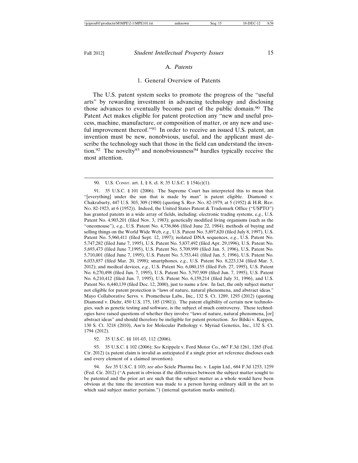#### A. *Patents*

#### 1. General Overview of Patents

The U.S. patent system seeks to promote the progress of the "useful arts" by rewarding investment in advancing technology and disclosing those advances to eventually become part of the public domain.90 The Patent Act makes eligible for patent protection any "new and useful process, machine, manufacture, or composition of matter, or any new and useful improvement thereof."<sup>91</sup> In order to receive an issued U.S. patent, an invention must be new, nonobvious, useful, and the applicant must describe the technology such that those in the field can understand the invention.<sup>92</sup> The novelty<sup>93</sup> and nonobviousness<sup>94</sup> hurdles typically receive the most attention.

92. 35 U.S.C. §§ 101-03, 112 (2006).

93. 35 U.S.C. § 102 (2006); *See* Krippelz v. Ford Motor Co., 667 F.3d 1261, 1265 (Fed. Cir. 2012) (a patent claim is invalid as anticipated if a single prior art reference discloses each and every element of a claimed invention).

94. *See* 35 U.S.C. § 103; *see also* Sciele Pharma Inc. v. Lupin Ltd., 684 F.3d 1253, 1259 (Fed. Cir. 2012) ("A patent is obvious if the differences between the subject matter sought to be patented and the prior art are such that the subject matter as a whole would have been obvious at the time the invention was made to a person having ordinary skill in the art to which said subject matter pertains.") (internal quotation marks omitted).

<sup>90.</sup> U.S. CONST. art. I, § 8, cl. 8; 35 U.S.C. § 154(c)(1).

<sup>91. 35</sup> U.S.C. § 101 (2006). The Supreme Court has interpreted this to mean that "[everything] under the sun that is made by man" is patent eligible. Diamond v. Chakrabarty, 447 U.S. 303, 309 (1980) (quoting S. REP. NO. 82-1979, at 5 (1952) & H.R. REP. NO. 82-1923, at 6 (1952)). Indeed, the United States Patent & Trademark Office ("USPTO") has granted patents in a wide array of fields, including: electronic trading systems, e*.g.*, U.S. Patent No. 4,903,201 (filed Nov. 3, 1983); genetically modified living organisms (such as the "oncomouse"), *e.g.*, U.S. Patent No. 4,736,866 (filed June 22, 1984); methods of buying and selling things on the World Wide Web, *e.g.*, U.S. Patent No. 5,897,620 (filed July 8, 1997), U.S. Patent No. 5,960,411 (filed Sept. 12, 1997); isolated DNA sequences, *e.g.*, U.S. Patent No. 5,747,282 (filed June 7, 1995), U.S. Patent No. 5,837,492 (filed Apr. 29,1996), U.S. Patent No. 5,693,473 (filed June 7,1995), U.S. Patent No. 5,709,999 (filed Jan. 5, 1996), U.S. Patent No. 5,710,001 (filed June 7, 1995), U.S. Patent No. 5,753,441 (filed Jan. 5, 1996), U.S. Patent No. 6,033,857 (filed Mar. 20, 1998); smartphones, *e.g.*, U.S. Patent No. 8,223,134 (filed Mar. 5, 2012); and medical devices, *e.g.*, U.S. Patent No. 6,080,155 (filed Feb. 27, 1995), U.S. Patent No. 6,270,498 (filed Jun. 7, 1995), U.S. Patent No. 5,797,909 (filed Jun. 7, 1995), U.S. Patent No. 6,210,412 (filed Jun. 7, 1995), U.S. Patent No. 6,159,214 (filed July 31, 1996), and U.S. Patent No. 6,440,139 (filed Dec. 12, 2000), just to name a few. In fact, the only subject matter not eligible for patent protection is "laws of nature, natural phenomena, and abstract ideas." Mayo Collaborative Servs. v. Prometheus Labs., Inc., 132 S. Ct. 1289, 1293 (2012) (quoting Diamond v. Diehr, 450 U.S. 175, 185 (1981)). The patent eligibility of certain new technologies, such as genetic testing and software, is the subject of much controversy. These technologies have raised questions of whether they involve "laws of nature, natural phenomena, [or] abstract ideas" and should therefore be ineligible for patent protection. *See* Bilski v. Kappos, 130 S. Ct. 3218 (2010), Ass'n for Molecular Pathology v. Myriad Genetics, Inc., 132 S. Ct. 1794 (2012).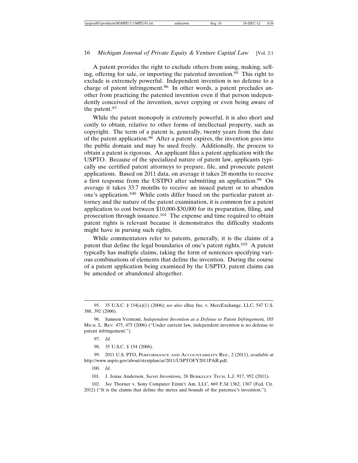A patent provides the right to exclude others from using, making, selling, offering for sale, or importing the patented invention.95 This right to exclude is extremely powerful. Independent invention is no defense to a charge of patent infringement.<sup>96</sup> In other words, a patent precludes another from practicing the patented invention even if that person independently conceived of the invention, never copying or even being aware of the patent.97

While the patent monopoly is extremely powerful, it is also short and costly to obtain, relative to other forms of intellectual property, such as copyright. The term of a patent is, generally, twenty years from the date of the patent application. $98$  After a patent expires, the invention goes into the public domain and may be used freely. Additionally, the process to obtain a patent is rigorous. An applicant files a patent application with the USPTO. Because of the specialized nature of patent law, applicants typically use certified patent attorneys to prepare, file, and prosecute patent applications. Based on 2011 data, on average it takes 28 months to receive a first response from the USTPO after submitting an application.<sup>99</sup> On average it takes 33.7 months to receive an issued patent or to abandon one's application.100 While costs differ based on the particular patent attorney and the nature of the patent examination, it is common for a patent application to cost between \$10,000-\$30,000 for its preparation, filing, and prosecution through issuance.<sup>101</sup> The expense and time required to obtain patent rights is relevant because it demonstrates the difficulty students might have in pursing such rights.

While commentators refer to patents, generally, it is the claims of a patent that define the legal boundaries of one's patent rights.102 A patent typically has multiple claims, taking the form of sentences specifying various combinations of elements that define the invention. During the course of a patent application being examined by the USPTO, patent claims can be amended or abandoned altogether.

98. 35 U.S.C. § 154 (2006).

99. 2011 U.S. PTO, PERFORMANCE AND ACCOUNTABILITY REP., 2 (2011), *available at* http://www.uspto.gov/about/stratplan/ar/2011/USPTOFY2011PAR.pdf.

100. *Id.*

101. J. Jonas Anderson, *Secret Inventions,* 26 BERKELEY TECH. L.J. 917, 952 (2011).

102. *See* Thorner v. Sony Computer Entm't Am. LLC, 669 F.3d 1362, 1367 (Fed. Cir. 2012) ("It is the claims that define the metes and bounds of the patentee's invention.").

<sup>95. 35</sup> U.S.C. § 154(a)(1) (2006); *see also* eBay Inc. v. MercExchange, LLC, 547 U.S. 388, 392 (2006).

<sup>96.</sup> Samson Vermont, *Independent Invention as a Defense to Patent Infringement,* 105 MICH. L. REV. 475, 475 (2006) ("Under current law, independent invention is no defense to patent infringement.").

<sup>97.</sup> *Id.*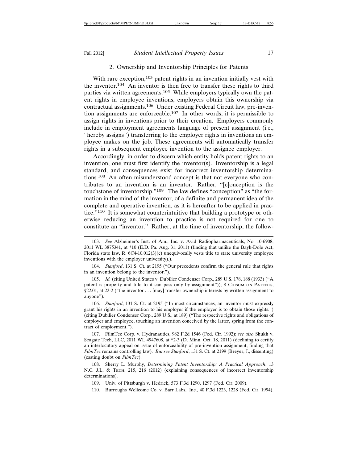#### 2. Ownership and Inventorship Principles for Patents

With rare exception,  $103$  patent rights in an invention initially vest with the inventor.104 An inventor is then free to transfer these rights to third parties via written agreements.105 While employers typically own the patent rights in employee inventions, employers obtain this ownership via contractual assignments.106 Under existing Federal Circuit law, pre-invention assignments are enforceable.107 In other words, it is permissible to assign rights in inventions prior to their creation. Employers commonly include in employment agreements language of present assignment (i.e., "hereby assigns") transferring to the employer rights in inventions an employee makes on the job. These agreements will automatically transfer rights in a subsequent employee invention to the assignee employer.

Accordingly, in order to discern which entity holds patent rights to an invention, one must first identify the inventor(s). Inventorship is a legal standard, and consequences exist for incorrect inventorship determinations.108 An often misunderstood concept is that not everyone who contributes to an invention is an inventor. Rather, "[c]onception is the touchstone of inventorship."109 The law defines "conception" as "the formation in the mind of the inventor, of a definite and permanent idea of the complete and operative invention, as it is hereafter to be applied in practice."110 It is somewhat counterintuitive that building a prototype or otherwise reducing an invention to practice is not required for one to constitute an "inventor." Rather, at the time of inventorship, the follow-

104. *Stanford*, 131 S. Ct. at 2195 ("Our precedents confirm the general rule that rights in an invention belong to the inventor.").

105. *Id.* (citing United States v. Dubilier Condenser Corp., 289 U.S. 178, 188 (1933) ("A patent is property and title to it can pass only by assignment")); 8 CHISUM ON PATENTS, §22.01, at 22-2 ("the inventor . . . [may] transfer ownership interests by written assignment to anyone").

106. *Stanford*, 131 S. Ct. at 2195 ("In most circumstances, an inventor must expressly grant his rights in an invention to his employer if the employer is to obtain those rights.") (citing Dubilier Condenser Corp., 289 U.S., at 189) ("The respective rights and obligations of employer and employee, touching an invention conceived by the latter, spring from the contract of employment.").

107. FilmTec Corp. v. Hydranautics, 982 F.2d 1546 (Fed. Cir. 1992); *see also* Shukh v. Seagate Tech, LLC, 2011 WL 4947608, at \*2-3 (D. Minn. Oct. 18, 2011) (declining to certify an interlocutory appeal on issue of enforceability of pre-invention assignment, finding that *FilmTec* remains controlling law). *But see Stanford*, 131 S. Ct. at 2199 (Breyer, J., dissenting) (casting doubt on *FilmTec*).

108. Sherry L. Murphy, *Determining Patent Inventorship: A Practical Approach*, 13 N.C. J.L. & TECH. 215, 216 (2012) (explaining consequences of incorrect inventorship determinations).

109. Univ. of Pittsburgh v. Hedrick, 573 F.3d 1290, 1297 (Fed. Cir. 2009).

110. Burroughs Wellcome Co. v. Barr Labs., Inc., 40 F.3d 1223, 1228 (Fed. Cir. 1994).

<sup>103.</sup> *See* Alzheimer's Inst. of Am., Inc. v. Avid Radiopharmaceuticals, No. 10-6908, 2011 WL 3875341, at \*10 (E.D. Pa. Aug. 31, 2011) (finding that unlike the Bayh-Dole Act, Florida state law, R.  $6C4-10.012(3)(c)$  unequivocally vests title to state university employee inventions with the employer university).).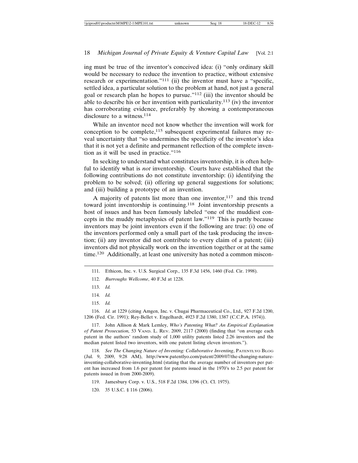ing must be true of the inventor's conceived idea: (i) "only ordinary skill would be necessary to reduce the invention to practice, without extensive research or experimentation."111 (ii) the inventor must have a "specific, settled idea, a particular solution to the problem at hand, not just a general goal or research plan he hopes to pursue."112 (iii) the inventor should be able to describe his or her invention with particularity.113 (iv) the inventor has corroborating evidence, preferably by showing a contemporaneous disclosure to a witness.<sup>114</sup>

While an inventor need not know whether the invention will work for conception to be complete,115 subsequent experimental failures may reveal uncertainty that "so undermines the specificity of the inventor's idea that it is not yet a definite and permanent reflection of the complete invention as it will be used in practice."116

In seeking to understand what constitutes inventorship, it is often helpful to identify what is *not* inventorship. Courts have established that the following contributions do not constitute inventorship: (i) identifying the problem to be solved; (ii) offering up general suggestions for solutions; and (iii) building a prototype of an invention.

A majority of patents list more than one inventor, $117$  and this trend toward joint inventorship is continuing.118 Joint inventorship presents a host of issues and has been famously labeled "one of the muddiest concepts in the muddy metaphysics of patent law."119 This is partly because inventors may be joint inventors even if the following are true: (i) one of the inventors performed only a small part of the task producing the invention; (ii) any inventor did not contribute to every claim of a patent; (iii) inventors did not physically work on the invention together or at the same time.120 Additionally, at least one university has noted a common miscon-

116. *Id.* at 1229 (citing Amgen, Inc. v. Chugai Pharmaceutical Co., Ltd.*,* 927 F.2d 1200, 1206 (Fed. Cir. 1991); Rey-Bellet v. Engelhardt, 4923 F.2d 1380, 1387 (C.C.P.A. 1974)).

117. John Allison & Mark Lemley, *Who's Patenting What? An Empirical Explanation of Patent Prosecution,* 53 VAND. L. REV. 2009, 2117 (2000) (finding that "on average each patent in the authors' random study of 1,000 utility patents listed 2.26 inventors and the median patent listed two inventors, with one patent listing eleven inventors.").

118. *See The Changing Nature of Inventing: Collaborative Inventing*, PATENTLYO BLOG (Jul. 9, 2009, 9:28 AM), http://www.patentlyo.com/patent/2009/07/the-changing-natureinventing-collaborative-inventing.html (stating that the average number of inventors per patent has increased from 1.6 per patent for patents issued in the 1970's to 2.5 per patent for patents issued in from 2000-2009).

119. Jamesbury Corp. v. U.S*.*, 518 F.2d 1384, 1396 (Ct. Cl. 1975).

120. 35 U.S.C. § 116 (2006).

<sup>111.</sup> Ethicon, Inc. v. U.S. Surgical Corp., 135 F.3d 1456, 1460 (Fed. Cir. 1998).

<sup>112.</sup> *Burroughs Wellcome*, 40 F.3d at 1228.

<sup>113.</sup> *Id.*

<sup>114.</sup> *Id.*

<sup>115.</sup> *Id.*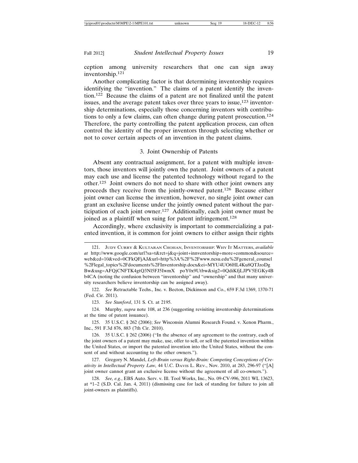ception among university researchers that one can sign away inventorship.<sup>121</sup>

Another complicating factor is that determining inventorship requires identifying the "invention." The claims of a patent identify the invention.122 Because the claims of a patent are not finalized until the patent issues, and the average patent takes over three years to issue, $123$  inventorship determinations, especially those concerning inventors with contributions to only a few claims, can often change during patent prosecution.<sup>124</sup> Therefore, the party controlling the patent application process, can often control the identity of the proper inventors through selecting whether or not to cover certain aspects of an invention in the patent claims.

#### 3. Joint Ownership of Patents

Absent any contractual assignment, for a patent with multiple inventors, those inventors will jointly own the patent. Joint owners of a patent may each use and license the patented technology without regard to the other.125 Joint owners do not need to share with other joint owners any proceeds they receive from the jointly-owned patent.126 Because either joint owner can license the invention, however, no single joint owner can grant an exclusive license under the jointly owned patent without the participation of each joint owner.127 Additionally, each joint owner must be joined as a plaintiff when suing for patent infringement.<sup>128</sup>

Accordingly, where exclusivity is important to commercializing a patented invention, it is common for joint owners to either assign their rights

<sup>121.</sup> JUDY CURRY & KULTARAN CHOHAN, INVENTORSHIP: WHY IT MATTERS, *available at* http://www.google.com/url?sa=t&rct=j&q=joint+innventorship+more+common&source= web&cd=10&ved=0CFkQFjAJ&url=http%3A%2F%2Fwww.ncsu.edu%2Fgeneral\_counsel %2Flegal\_topics%2Fdocuments%2FInventorship.docx&ei=MYU4UO6HL4Ku8QTJzoDg Bw&usg=AFQjCNFTK4gtQ3Nl5FJ5IwmX poY0x9Utbw&sig2=0QdiKfjLJPV5EGKy4B b4CA (noting the confusion between "inventorship" and "ownership" and that many university researchers believe inventorship can be assigned away).

<sup>122.</sup> *See* Retractable Techs., Inc. v. Becton, Dickinson and Co., 659 F.3d 1369, 1370-71 (Fed. Cir. 2011).

<sup>123.</sup> *See Stanford*, 131 S. Ct. at 2195.

<sup>124.</sup> Murphy, *supra* note 108, at 236 (suggesting revisiting inventorship determinations at the time of patent issuance).

<sup>125. 35</sup> U.S.C. § 262 (2006); *See* Wisconsin Alumni Research Found. v. Xenon Pharm., Inc., 591 F.3d 876, 883 (7th Cir. 2010).

<sup>126. 35</sup> U.S.C. § 262 (2006) ("In the absence of any agreement to the contrary, each of the joint owners of a patent may make, use, offer to sell, or sell the patented invention within the United States, or import the patented invention into the United States, without the consent of and without accounting to the other owners.").

<sup>127.</sup> Gregory N. Mandel, *Left-Brain versus Right-Brain: Competing Conceptions of Creativity in Intellectual Property Law,* 44 U.C. DAVIS L. REV., Nov. 2010, at 283, 296-97 ("[A] joint owner cannot grant an exclusive license without the agreement of all co-owners.").

<sup>128.</sup> *See, e.g.*, EBS Auto. Serv. v. Ill. Tool Works, Inc., No. 09-CV-996, 2011 WL 13623, at \*1–2 (S.D. Cal. Jan. 4, 2011) (dismissing case for lack of standing for failure to join all joint-owners as plaintiffs).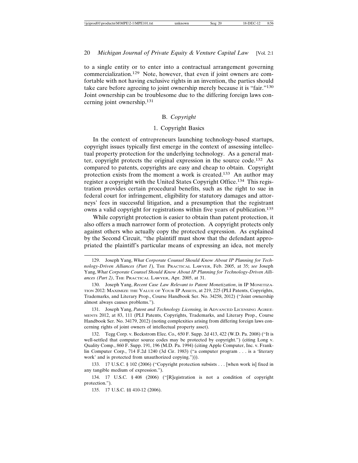to a single entity or to enter into a contractual arrangement governing commercialization.129 Note, however, that even if joint owners are comfortable with not having exclusive rights in an invention, the parties should take care before agreeing to joint ownership merely because it is "fair."130 Joint ownership can be troublesome due to the differing foreign laws concerning joint ownership.131

#### B. *Copyright*

#### 1. Copyright Basics

In the context of entrepreneurs launching technology-based startups, copyright issues typically first emerge in the context of assessing intellectual property protection for the underlying technology. As a general matter, copyright protects the original expression in the source code.132 As compared to patents, copyrights are easy and cheap to obtain. Copyright protection exists from the moment a work is created.133 An author may register a copyright with the United States Copyright Office.134 This registration provides certain procedural benefits, such as the right to sue in federal court for infringement, eligibility for statutory damages and attorneys' fees in successful litigation, and a presumption that the registrant owns a valid copyright for registrations within five years of publication.135

While copyright protection is easier to obtain than patent protection, it also offers a much narrower form of protection. A copyright protects only against others who actually copy the protected expression. As explained by the Second Circuit, "the plaintiff must show that the defendant appropriated the plaintiff's particular means of expressing an idea, not merely

132. Tegg Corp. v. Beckstrom Elec. Co.*,* 650 F. Supp. 2d 413, 422 (W.D. Pa. 2008) ("It is well-settled that computer source codes may be protected by copyright.") (citing Long v. Quality Comp., 860 F. Supp. 191, 196 (M.D. Pa. 1994) (citing Apple Computer, Inc. v. Franklin Computer Corp., 714 F.2d 1240 (3d Cir. 1983) ("a computer program . . . is a 'literary work' and is protected from unauthorized copying."))).

133. 17 U.S.C. § 102 (2006) ("Copyright protection subsists . . . [when work is] fixed in any tangible medium of expression.").

<sup>129.</sup> Joseph Yang, *What Corporate Counsel Should Know About IP Planning for Technology-Driven Alliances (Part 1*), THE PRACTICAL LAWYER, Feb. 2005, at 35; *see* Joseph Yang, *What Corporate Counsel Should Know About IP Planning for Technology-Driven Alliances (Part 2)*, THE PRACTICAL LAWYER, Apr. 2005, at 31.

<sup>130.</sup> Joseph Yang, *Recent Case Law Relevant to Patent Monetization*, in IP MONETIZA-TION 2012: MAXIMIZE THE VALUE OF YOUR IP ASSETS, at 219, 225 (PLI Patents, Copyrights, Trademarks, and Literary Prop., Course Handbook Ser. No. 34258, 2012) ("Joint ownership almost always causes problems.").

<sup>131.</sup> Joseph Yang, *Patent and Technology Licensing,* in ADVANCED LICENSING AGREE-MENTS 2012, at 83, 111 (PLI Patents, Copyrights, Trademarks, and Literary Prop., Course Handbook Ser. No. 34179, 2012) (noting complexities arising from differing foreign laws concerning rights of joint owners of intellectual property asset).

<sup>134. 17</sup> U.S.C. § 408 (2006) ("[R]egistration is not a condition of copyright protection.").

<sup>135. 17</sup> U.S.C. §§ 410-12 (2006).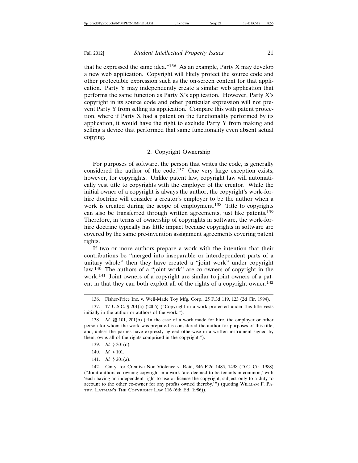that he expressed the same idea."136 As an example, Party X may develop a new web application. Copyright will likely protect the source code and other protectable expression such as the on-screen content for that application. Party Y may independently create a similar web application that performs the same function as Party X's application. However, Party X's copyright in its source code and other particular expression will not prevent Party Y from selling its application. Compare this with patent protection, where if Party X had a patent on the functionality performed by its application, it would have the right to exclude Party Y from making and selling a device that performed that same functionality even absent actual copying.

#### 2. Copyright Ownership

For purposes of software, the person that writes the code, is generally considered the author of the code.137 One very large exception exists, however, for copyrights. Unlike patent law, copyright law will automatically vest title to copyrights with the employer of the creator. While the initial owner of a copyright is always the author, the copyright's work-forhire doctrine will consider a creator's employer to be the author when a work is created during the scope of employment.<sup>138</sup> Title to copyrights can also be transferred through written agreements, just like patents.139 Therefore, in terms of ownership of copyrights in software, the work-forhire doctrine typically has little impact because copyrights in software are covered by the same pre-invention assignment agreements covering patent rights.

If two or more authors prepare a work with the intention that their contributions be "merged into inseparable or interdependent parts of a unitary whole" then they have created a "joint work" under copyright law.140 The authors of a "joint work" are co-owners of copyright in the work.141 Joint owners of a copyright are similar to joint owners of a patent in that they can both exploit all of the rights of a copyright owner.<sup>142</sup>

137. 17 U.S.C. § 201(a) (2006) ("Copyright in a work protected under this title vests initially in the author or authors of the work.").

138. *Id.* §§ 101, 201(b) ("In the case of a work made for hire, the employer or other person for whom the work was prepared is considered the author for purposes of this title, and, unless the parties have expressly agreed otherwise in a written instrument signed by them, owns all of the rights comprised in the copyright.").

139. *Id.* § 201(d).

140. *Id.* § 101.

141. *Id.* § 201(a).

142. Cmty. for Creative Non-Violence v. Reid, 846 F.2d 1485, 1498 (D.C. Cir. 1988) ("Joint authors co-owning copyright in a work 'are deemed to be tenants in common,' with 'each having an independent right to use or license the copyright, subject only to a duty to account to the other co-owner for any profits owned thereby.'") (quoting WILLIAM F. PA-TRY, LATMAN'S THE COPYRIGHT LAW 116 (6th Ed. 1986)).

<sup>136.</sup> Fisher-Price Inc. v. Well-Made Toy Mfg. Corp., 25 F.3d 119, 123 (2d Cir. 1994).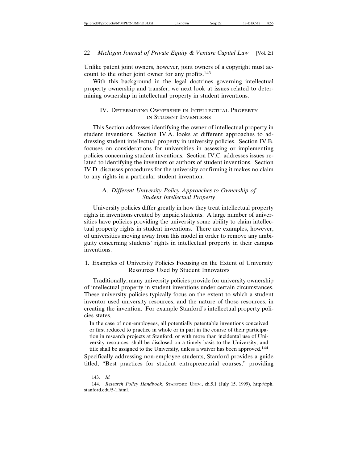Unlike patent joint owners, however, joint owners of a copyright must account to the other joint owner for any profits.143

With this background in the legal doctrines governing intellectual property ownership and transfer, we next look at issues related to determining ownership in intellectual property in student inventions.

#### IV. DETERMINING OWNERSHIP IN INTELLECTUAL PROPERTY IN STUDENT INVENTIONS

This Section addresses identifying the owner of intellectual property in student inventions. Section IV.A. looks at different approaches to addressing student intellectual property in university policies. Section IV.B. focuses on considerations for universities in assessing or implementing policies concerning student inventions. Section IV.C. addresses issues related to identifying the inventors or authors of student inventions. Section IV.D. discusses procedures for the university confirming it makes no claim to any rights in a particular student invention.

#### A. *Different University Policy Approaches to Ownership of Student Intellectual Property*

University policies differ greatly in how they treat intellectual property rights in inventions created by unpaid students. A large number of universities have policies providing the university some ability to claim intellectual property rights in student inventions. There are examples, however, of universities moving away from this model in order to remove any ambiguity concerning students' rights in intellectual property in their campus inventions.

1. Examples of University Policies Focusing on the Extent of University Resources Used by Student Innovators

Traditionally, many university policies provide for university ownership of intellectual property in student inventions under certain circumstances. These university policies typically focus on the extent to which a student inventor used university resources, and the nature of those resources, in creating the invention. For example Stanford's intellectual property policies states,

In the case of non-employees, all potentially patentable inventions conceived or first reduced to practice in whole or in part in the course of their participation in research projects at Stanford, or with more than incidental use of University resources, shall be disclosed on a timely basis to the University, and title shall be assigned to the University, unless a waiver has been approved.<sup>144</sup>

Specifically addressing non-employee students, Stanford provides a guide titled, "Best practices for student entrepreneurial courses," providing

<sup>143.</sup> *Id.*

<sup>144.</sup> *Research Policy Handbook*, STANFORD UNIV., ch.5.1 (July 15, 1999), http://rph. stanford.edu/5-1.html.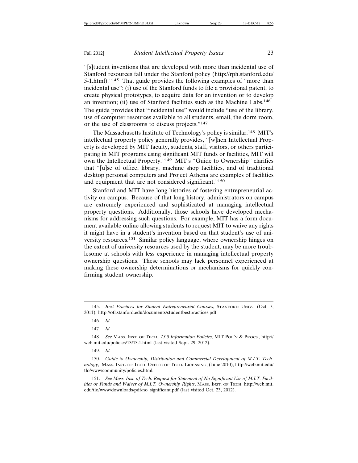"[s]tudent inventions that are developed with more than incidental use of Stanford resources fall under the Stanford policy (http://rph.stanford.edu/ 5-1.html)."145 That guide provides the following examples of "more than incidental use": (i) use of the Stanford funds to file a provisional patent, to create physical prototypes, to acquire data for an invention or to develop an invention; (ii) use of Stanford facilities such as the Machine Labs.146 The guide provides that "incidental use" would include "use of the library, use of computer resources available to all students, email, the dorm room, or the use of classrooms to discuss projects."147

The Massachusetts Institute of Technology's policy is similar.148 MIT's intellectual property policy generally provides, "[w]hen Intellectual Property is developed by MIT faculty, students, staff, visitors, or others participating in MIT programs using significant MIT funds or facilities, MIT will own the Intellectual Property."149 MIT's "Guide to Ownership" clarifies that "[u]se of office, library, machine shop facilities, and of traditional desktop personal computers and Project Athena are examples of facilities and equipment that are not considered significant."150

Stanford and MIT have long histories of fostering entrepreneurial activity on campus. Because of that long history, administrators on campus are extremely experienced and sophisticated at managing intellectual property questions. Additionally, those schools have developed mechanisms for addressing such questions. For example, MIT has a form document available online allowing students to request MIT to waive any rights it might have in a student's invention based on that student's use of university resources.151 Similar policy language, where ownership hinges on the extent of university resources used by the student, may be more troublesome at schools with less experience in managing intellectual property ownership questions. These schools may lack personnel experienced at making these ownership determinations or mechanisms for quickly confirming student ownership.

146. *Id.*

147. *Id.*

148. *See* MASS. INST. OF TECH., *13.0 Information Policies*, MIT POL'Y & PROCS., http:// web.mit.edu/policies/13/13.1.html (last visited Sept. 29, 2012).

149. *Id.*

150. *Guide to Ownership, Distribution and Commercial Development of M.I.T. Technology*, MASS. INST. OF TECH. OFFICE OF TECH. LICENSING, (June 2010), http://web.mit.edu/ tlo/www/community/policies.html.

151. *See Mass. Inst. of Tech. Request for Statement of No Significant Use of M.I.T. Facilities or Funds and Waiver of M.I.T. Ownership Rights*, MASS. INST. OF TECH. http://web.mit. edu/tlo/www/downloads/pdf/no\_significant.pdf (last visited Oct. 23, 2012).

<sup>145.</sup> *Best Practices for Student Entrepreneurial Courses*, STANFORD UNIV., (Oct. 7, 2011), http://otl.stanford.edu/documents/studentbestpractices.pdf.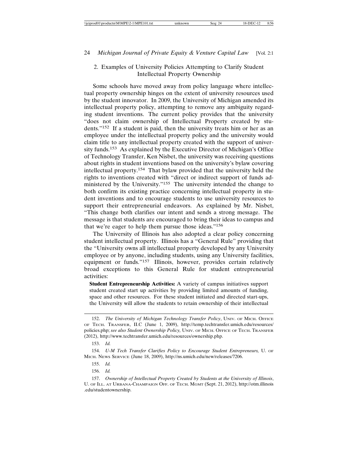#### 2. Examples of University Policies Attempting to Clarify Student Intellectual Property Ownership

Some schools have moved away from policy language where intellectual property ownership hinges on the extent of university resources used by the student innovator. In 2009, the University of Michigan amended its intellectual property policy, attempting to remove any ambiguity regarding student inventions. The current policy provides that the university "does not claim ownership of Intellectual Property created by students."152 If a student is paid, then the university treats him or her as an employee under the intellectual property policy and the university would claim title to any intellectual property created with the support of university funds.153 As explained by the Executive Director of Michigan's Office of Technology Transfer, Ken Nisbet, the university was receiving questions about rights in student inventions based on the university's bylaw covering intellectual property.154 That bylaw provided that the university held the rights to inventions created with "direct or indirect support of funds administered by the University."155 The university intended the change to both confirm its existing practice concerning intellectual property in student inventions and to encourage students to use university resources to support their entrepreneurial endeavors. As explained by Mr. Nisbet, "This change both clarifies our intent and sends a strong message. The message is that students are encouraged to bring their ideas to campus and that we're eager to help them pursue those ideas."156

The University of Illinois has also adopted a clear policy concerning student intellectual property. Illinois has a "General Rule" providing that the "University owns all intellectual property developed by any University employee or by anyone, including students, using any University facilities, equipment or funds."<sup>157</sup> Illinois, however, provides certain relatively broad exceptions to this General Rule for student entrepreneurial activities:

**Student Entrepreneurship Activities:** A variety of campus initiatives support student created start up activities by providing limited amounts of funding, space and other resources. For these student initiated and directed start-ups, the University will allow the students to retain ownership of their intellectual

<sup>152.</sup> *The University of Michigan Technology Transfer Policy*, UNIV. OF MICH. OFFICE OF TECH. TRANSFER, II.C (June 1, 2009), http://temp.techtransfer.umich.edu/resources/ policies.php; *see also Student Ownership Policy,* UNIV. OF MICH. OFFICE OF TECH. TRANSFER (2012), http://www.techtransfer.umich.edu/resources/ownership.php.

<sup>153.</sup> *Id.*

<sup>154.</sup> *U-M Tech Transfer Clarifies Policy to Encourage Student Entrepreneurs,* U. OF MICH. NEWS SERVICE (June 18, 2009), http://ns.umich.edu/new/releases/7206.

<sup>155.</sup> *Id.*

<sup>156.</sup> *Id.*

<sup>157.</sup> *Ownership of Intellectual Property Created by Students at the University of Illinois*, U. OF ILL. AT URBANA-CHAMPAIGN OFF. OF TECH. MGMT (Sept. 21, 2012), http://otm.illinois .edu/studentownership.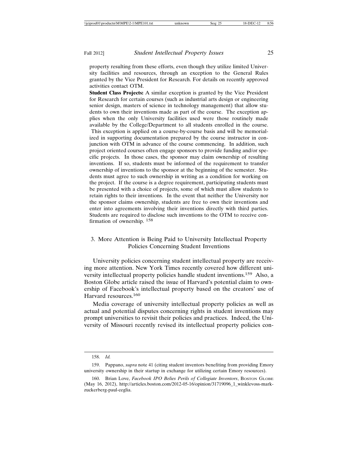property resulting from these efforts, even though they utilize limited University facilities and resources, through an exception to the General Rules granted by the Vice President for Research. For details on recently approved activities contact OTM.

**Student Class Projects:** A similar exception is granted by the Vice President for Research for certain courses (such as industrial arts design or engineering senior design, masters of science in technology management) that allow students to own their inventions made as part of the course. The exception applies when the only University facilities used were those routinely made available by the College/Department to all students enrolled in the course. This exception is applied on a course-by-course basis and will be memorialized in supporting documentation prepared by the course instructor in conjunction with OTM in advance of the course commencing. In addition, such project oriented courses often engage sponsors to provide funding and/or specific projects. In those cases, the sponsor may claim ownership of resulting inventions. If so, students must be informed of the requirement to transfer ownership of inventions to the sponsor at the beginning of the semester. Students must agree to such ownership in writing as a condition for working on the project. If the course is a degree requirement, participating students must be presented with a choice of projects, some of which must allow students to retain rights to their inventions. In the event that neither the University nor the sponsor claims ownership, students are free to own their inventions and enter into agreements involving their inventions directly with third parties. Students are required to disclose such inventions to the OTM to receive confirmation of ownership. 158

#### 3. More Attention is Being Paid to University Intellectual Property Policies Concerning Student Inventions

University policies concerning student intellectual property are receiving more attention. New York Times recently covered how different university intellectual property policies handle student inventions.159 Also, a Boston Globe article raised the issue of Harvard's potential claim to ownership of Facebook's intellectual property based on the creators' use of Harvard resources.160

Media coverage of university intellectual property policies as well as actual and potential disputes concerning rights in student inventions may prompt universities to revisit their policies and practices. Indeed, the University of Missouri recently revised its intellectual property policies con-

<sup>158.</sup> *Id.*

<sup>159.</sup> Pappano, *supra* note 41 (citing student inventors benefiting from providing Emory university ownership in their startup in exchange for utilizing certain Emory resources).

<sup>160.</sup> Brian Love, *Facebook IPO Belies Perils of Collegiate Inventors*, BOSTON GLOBE (May 16, 2012), http://articles.boston.com/2012-05-16/opinion/31719096\_1\_winklevoss-markzuckerberg-paul-ceglia.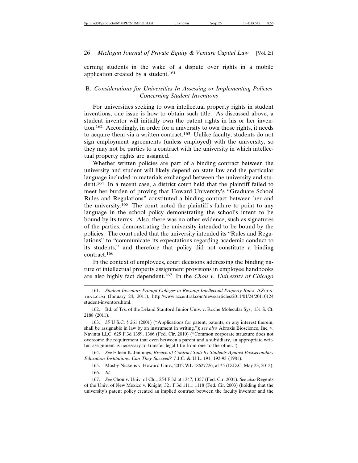cerning students in the wake of a dispute over rights in a mobile application created by a student.161

#### B. *Considerations for Universities In Assessing or Implementing Policies Concerning Student Inventions*

For universities seeking to own intellectual property rights in student inventions, one issue is how to obtain such title. As discussed above, a student inventor will initially own the patent rights in his or her invention.162 Accordingly, in order for a university to own those rights, it needs to acquire them via a written contract.163 Unlike faculty, students do not sign employment agreements (unless employed) with the university, so they may not be parties to a contract with the university in which intellectual property rights are assigned.

Whether written policies are part of a binding contract between the university and student will likely depend on state law and the particular language included in materials exchanged between the university and student.164 In a recent case, a district court held that the plaintiff failed to meet her burden of proving that Howard University's "Graduate School Rules and Regulations" constituted a binding contract between her and the university.165 The court noted the plaintiff's failure to point to any language in the school policy demonstrating the school's intent to be bound by its terms. Also, there was no other evidence, such as signatures of the parties, demonstrating the university intended to be bound by the policies. The court ruled that the university intended its "Rules and Regulations" to "communicate its expectations regarding academic conduct to its students," and therefore that policy did not constitute a binding contract.<sup>166</sup>

In the context of employees, court decisions addressing the binding nature of intellectual property assignment provisions in employee handbooks are also highly fact dependent.167 In the *Chou v. University of Chicago*

162. Bd. of Trs. of the Leland Stanford Junior Univ. v. Roche Molecular Sys.*,* 131 S. Ct. 2188 (2011).

163. 35 U.S.C. § 261 (2001) ("Applications for patent, patents, or any interest therein, shall be assignable in law by an instrument in writing."); *see also* Abraxis Bioscience, Inc. v. Navinta LLC, 625 F.3d 1359, 1366 (Fed. Cir. 2010) ("Common corporate structure does not overcome the requirement that even between a parent and a subsidiary, an appropriate written assignment is necessary to transfer legal title from one to the other.").

164. *See* Eileen K. Jennings, *Breach of Contract Suits by Students Against Postsecondary Education Institutions: Can They Succeed?* 7 J.C. & U.L. 191, 192-93 (1981).

165. Mosby-Nickens v. Howard Univ.*,* 2012 WL 18627726, at \*5 (D.D.C. May 23, 2012). 166. *Id.*

167. *See* Chou v. Univ. of Chi.*,* 254 F.3d at 1347, 1357 (Fed. Cir. 2001). *See also* Regents of the Univ. of New Mexico v. Knight*,* 321 F.3d 1111, 1118 (Fed. Cir. 2003) (holding that the university's patent policy created an implied contract between the faculty inventor and the

<sup>161.</sup> *Student Inventors Prompt Colleges to Revamp Intellectual Property Rules, AZCEN-*TRAL.COM (January 24, 2011), http://www.azcentral.com/news/articles/2011/01/24/20110124 student-inventors.html.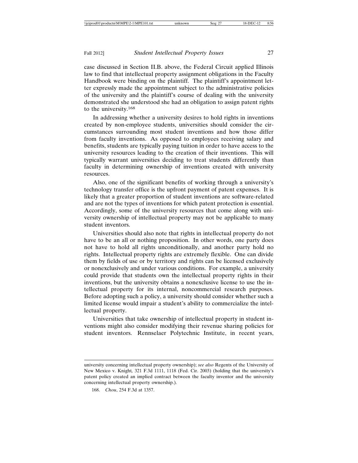case discussed in Section II.B. above, the Federal Circuit applied Illinois law to find that intellectual property assignment obligations in the Faculty Handbook were binding on the plaintiff. The plaintiff's appointment letter expressly made the appointment subject to the administrative policies of the university and the plaintiff's course of dealing with the university demonstrated she understood she had an obligation to assign patent rights to the university.168

In addressing whether a university desires to hold rights in inventions created by non-employee students, universities should consider the circumstances surrounding most student inventions and how those differ from faculty inventions. As opposed to employees receiving salary and benefits, students are typically paying tuition in order to have access to the university resources leading to the creation of their inventions. This will typically warrant universities deciding to treat students differently than faculty in determining ownership of inventions created with university resources.

Also, one of the significant benefits of working through a university's technology transfer office is the upfront payment of patent expenses. It is likely that a greater proportion of student inventions are software-related and are not the types of inventions for which patent protection is essential. Accordingly, some of the university resources that come along with university ownership of intellectual property may not be applicable to many student inventors.

Universities should also note that rights in intellectual property do not have to be an all or nothing proposition. In other words, one party does not have to hold all rights unconditionally, and another party hold no rights. Intellectual property rights are extremely flexible. One can divide them by fields of use or by territory and rights can be licensed exclusively or nonexclusively and under various conditions. For example, a university could provide that students own the intellectual property rights in their inventions, but the university obtains a nonexclusive license to use the intellectual property for its internal, noncommercial research purposes. Before adopting such a policy, a university should consider whether such a limited license would impair a student's ability to commercialize the intellectual property.

Universities that take ownership of intellectual property in student inventions might also consider modifying their revenue sharing policies for student inventors. Rennselaer Polytechnic Institute, in recent years,

university concerning intellectual property ownership); *see also* Regents of the University of New Mexico v. Knight*,* 321 F.3d 1111, 1118 (Fed. Cir. 2003) (holding that the university's patent policy created an implied contract between the faculty inventor and the university concerning intellectual property ownership.).

<sup>168.</sup> *Chou*, 254 F.3d at 1357.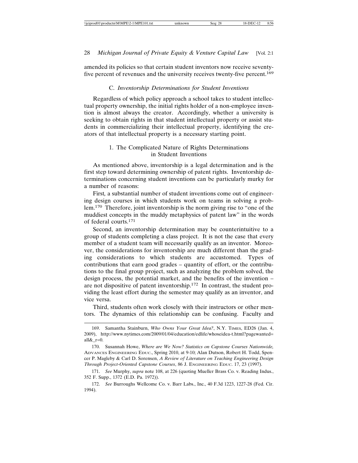amended its policies so that certain student inventors now receive seventyfive percent of revenues and the university receives twenty-five percent.169

#### C. *Inventorship Determinations for Student Inventions*

Regardless of which policy approach a school takes to student intellectual property ownership, the initial rights holder of a non-employee invention is almost always the creator. Accordingly, whether a university is seeking to obtain rights in that student intellectual property or assist students in commercializing their intellectual property, identifying the creators of that intellectual property is a necessary starting point.

#### 1. The Complicated Nature of Rights Determinations in Student Inventions

As mentioned above, inventorship is a legal determination and is the first step toward determining ownership of patent rights. Inventorship determinations concerning student inventions can be particularly murky for a number of reasons:

First*,* a substantial number of student inventions come out of engineering design courses in which students work on teams in solving a problem.170 Therefore, joint inventorship is the norm giving rise to "one of the muddiest concepts in the muddy metaphysics of patent law" in the words of federal courts.171

Second, an inventorship determination may be counterintuitive to a group of students completing a class project. It is not the case that every member of a student team will necessarily qualify as an inventor. Moreover, the considerations for inventorship are much different than the grading considerations to which students are accustomed. Types of contributions that earn good grades – quantity of effort, or the contributions to the final group project, such as analyzing the problem solved, the design process, the potential market, and the benefits of the invention – are not dispositive of patent inventorship.172 In contrast, the student providing the least effort during the semester may qualify as an inventor, and vice versa.

Third, students often work closely with their instructors or other mentors. The dynamics of this relationship can be confusing. Faculty and

<sup>169.</sup> Samantha Stainburn, *Who Owns Your Great Idea?*, N.Y. TIMES, ED26 (Jan. 4, 2009), http://www.nytimes.com/2009/01/04/education/edlife/whoseidea-t.html?pagewanted= all&\_r=0.

<sup>170.</sup> Susannah Howe, *Where are We Now? Statistics on Capstone Courses Nationwide,* ADVANCES ENGINEERING EDUC., Spring 2010, at 9-10; Alan Dutson, Robert H. Todd, Spencer P. Magleby & Carl D. Sorensen, *A Review of Literature on Teaching Engineering Design Through Project-Oriented Capstone Courses*, 86 J. ENGINEERING EDUC. 17, 23 (1997).

<sup>171.</sup> *See* Murphy, *supra* note 108, at 226 (quoting Mueller Brass Co. v. Reading Indus., 352 F. Supp., 1372 (E.D. Pa. 1972)).

<sup>172.</sup> *See* Burroughs Wellcome Co. v. Barr Labs., Inc., 40 F.3d 1223, 1227-28 (Fed. Cir. 1994).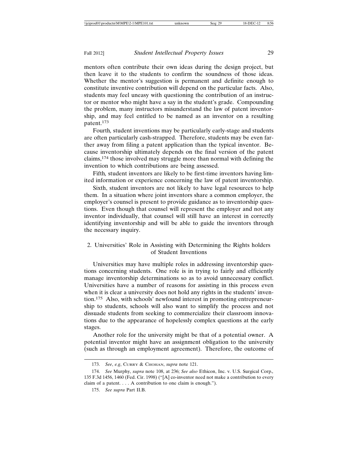mentors often contribute their own ideas during the design project, but then leave it to the students to confirm the soundness of those ideas. Whether the mentor's suggestion is permanent and definite enough to constitute inventive contribution will depend on the particular facts. Also, students may feel uneasy with questioning the contribution of an instructor or mentor who might have a say in the student's grade. Compounding the problem, many instructors misunderstand the law of patent inventorship, and may feel entitled to be named as an inventor on a resulting patent.<sup>173</sup>

Fourth*,* student inventions may be particularly early-stage and students are often particularly cash-strapped. Therefore, students may be even farther away from filing a patent application than the typical inventor. Because inventorship ultimately depends on the final version of the patent claims,174 those involved may struggle more than normal with defining the invention to which contributions are being assessed.

Fifth*,* student inventors are likely to be first-time inventors having limited information or experience concerning the law of patent inventorship.

Sixth, student inventors are not likely to have legal resources to help them. In a situation where joint inventors share a common employer, the employer's counsel is present to provide guidance as to inventorship questions. Even though that counsel will represent the employer and not any inventor individually, that counsel will still have an interest in correctly identifying inventorship and will be able to guide the inventors through the necessary inquiry.

### 2. Universities' Role in Assisting with Determining the Rights holders of Student Inventions

Universities may have multiple roles in addressing inventorship questions concerning students. One role is in trying to fairly and efficiently manage inventorship determinations so as to avoid unnecessary conflict. Universities have a number of reasons for assisting in this process even when it is clear a university does not hold any rights in the students' invention.175 Also, with schools' newfound interest in promoting entrepreneurship to students, schools will also want to simplify the process and not dissuade students from seeking to commercialize their classroom innovations due to the appearance of hopelessly complex questions at the early stages.

Another role for the university might be that of a potential owner. A potential inventor might have an assignment obligation to the university (such as through an employment agreement). Therefore, the outcome of

<sup>173.</sup> *See*, *e.g*, CURRY & CHOHAN, *supra* note 121.

<sup>174.</sup> *See* Murphy, *supra* note 108, at 236; *See also* Ethicon, Inc. v. U.S. Surgical Corp.*,* 135 F.3d 1456, 1460 (Fed. Cir. 1998) ("[A] co-inventor need not make a contribution to every claim of a patent. . . . A contribution to one claim is enough.").

<sup>175.</sup> *See supra* Part II.B.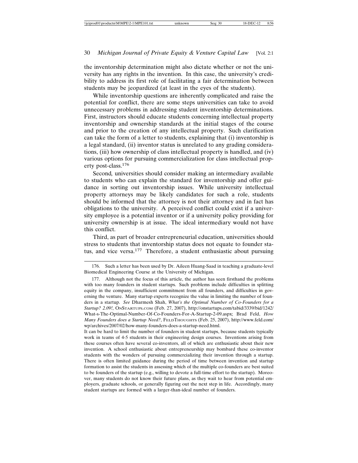the inventorship determination might also dictate whether or not the university has any rights in the invention. In this case, the university's credibility to address its first role of facilitating a fair determination between students may be jeopardized (at least in the eyes of the students).

While inventorship questions are inherently complicated and raise the potential for conflict, there are some steps universities can take to avoid unnecessary problems in addressing student inventorship determinations. First, instructors should educate students concerning intellectual property inventorship and ownership standards at the initial stages of the course and prior to the creation of any intellectual property. Such clarification can take the form of a letter to students, explaining that (i) inventorship is a legal standard, (ii) inventor status is unrelated to any grading considerations, (iii) how ownership of class intellectual property is handled, and (iv) various options for pursuing commercialization for class intellectual property post-class.176

Second*,* universities should consider making an intermediary available to students who can explain the standard for inventorship and offer guidance in sorting out inventorship issues. While university intellectual property attorneys may be likely candidates for such a role, students should be informed that the attorney is not their attorney and in fact has obligations to the university. A perceived conflict could exist if a university employee is a potential inventor or if a university policy providing for university ownership is at issue. The ideal intermediary would not have this conflict.

Third, as part of broader entrepreneurial education, universities should stress to students that inventorship status does not equate to founder status, and vice versa.177 Therefore, a student enthusiastic about pursuing

<sup>176.</sup> Such a letter has been used by Dr. Aileen Huang-Saad in teaching a graduate-level Biomedical Engineering Course at the University of Michigan.

<sup>177.</sup> Although not the focus of this article, the author has seen firsthand the problems with too many founders in student startups. Such problems include difficulties in splitting equity in the company, insufficient commitment from all founders, and difficulties in governing the venture. Many startup experts recognize the value in limiting the number of founders in a startup. *See* Dharmesh Shah, *What's the Optimal Number of Co-Founders for a Startup? 2.09!*, ONSTARTUPS.COM (Feb. 27, 2007), http://onstartups.com/tabid/3339/bid/1242/ What-s-The-Optimal-Number-Of-Co-Founders-For-A-Startup-2-09.aspx; Brad Feld, *How Many Founders does a Startup Need?*, FELDTHOUGHTS (Feb. 25, 2007), http://www.feld.com/ wp/archives/2007/02/how-many-founders-does-a-startup-need.html.

It can be hard to limit the number of founders in student startups, because students typically work in teams of 4-5 students in their engineering design courses. Inventions arising from these courses often have several co-inventors, all of which are enthusiastic about their new invention. A school enthusiastic about entrepreneurship may bombard these co-inventor students with the wonders of pursuing commercializing their invention through a startup. There is often limited guidance during the period of time between invention and startup formation to assist the students in assessing which of the multiple co-founders are best suited to be founders of the startup (e.g., willing to devote a full-time effort to the startup). Moreover, many students do not know their future plans, as they wait to hear from potential employers, graduate schools, or generally figuring out the next step in life. Accordingly, many student startups are formed with a larger-than-ideal number of founders.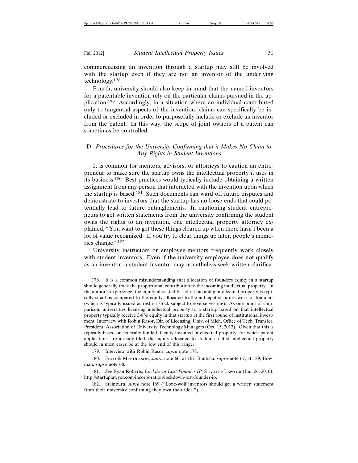commercializing an invention through a startup may still be involved with the startup even if they are not an inventor of the underlying technology.<sup>178</sup>

Fourth, university should also keep in mind that the named inventors for a patentable invention rely on the particular claims pursued in the application.179 Accordingly, in a situation where an individual contributed only to tangential aspects of the invention, claims can specifically be included or excluded in order to purposefully include or exclude an inventor from the patent. In this way, the scope of joint owners of a patent can sometimes be controlled.

#### D. *Procedures for the University Confirming that it Makes No Claim to Any Rights in Student Inventions*

It is common for mentors, advisors, or attorneys to caution an entrepreneur to make sure the startup owns the intellectual property it uses in its business.180 Best practices would typically include obtaining a written assignment from any person that interacted with the invention upon which the startup is based.181 Such documents can ward off future disputes and demonstrate to investors that the startup has no loose ends that could potentially lead to future entanglements. In cautioning student entrepreneurs to get written statements from the university confirming the student owns the rights to an invention, one intellectual property attorney explained, "You want to get these things cleared up when there hasn't been a lot of value recognized. If you try to clear things up later, people's memories change."182

University instructors or employee-mentors frequently work closely with student inventors. Even if the university employee does not qualify as an inventor, a student inventor may nonetheless seek written clarifica-

179. Interview with Robin Rasor, *supra* note 178.

180. FELD & MENDELSON, *supra* note 66, at 167; Bautista, *supra* note 67, at 129; Bowman, *supra* note 68.

<sup>178.</sup> It is a common misunderstanding that allocation of founders equity in a startup should generally track the proportional contribution to the incoming intellectual property. In the author's experience, the equity allocated based on incoming intellectual property is typically small as compared to the equity allocated to the anticipated future work of founders (which is typically issued as restrict stock subject to reverse vesting). As one point of comparison, universities licensing intellectual property to a startup based on that intellectual property typically receive 3-8% equity in that startup at the first round of institutional investment. Interview with Robin Rasor, Dir. of Licensing, Univ. of Mich. Office of Tech. Transfer, President, Association of University Technology Managers (Oct. 15, 2012). Given that this is typically based on federally-funded, faculty-invented intellectual property, for which patent applications are already filed, the equity allocated to student-created intellectual property should in most cases be at the low end of this range.

<sup>181.</sup> *See* Ryan Roberts, *Lockdown Lost-Founder IP,* STARTUP LAWYER (Jan. 26, 2010), http://startuplawyer.com/incorporation/lockdown-lost-founder-ip.

<sup>182.</sup> Stainburn, *supra* note 169 ("Lone-wolf inventors should get a written statement from their university confirming they own their idea.").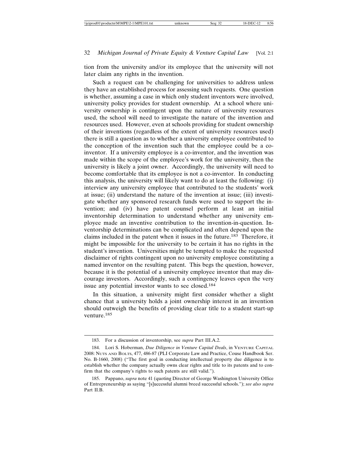tion from the university and/or its employee that the university will not later claim any rights in the invention.

Such a request can be challenging for universities to address unless they have an established process for assessing such requests. One question is whether, assuming a case in which only student inventors were involved, university policy provides for student ownership. At a school where university ownership is contingent upon the nature of university resources used, the school will need to investigate the nature of the invention and resources used. However, even at schools providing for student ownership of their inventions (regardless of the extent of university resources used) there is still a question as to whether a university employee contributed to the conception of the invention such that the employee could be a coinventor. If a university employee is a co-inventor, and the invention was made within the scope of the employee's work for the university, then the university is likely a joint owner. Accordingly, the university will need to become comfortable that its employee is not a co-inventor. In conducting this analysis, the university will likely want to do at least the following: (i) interview any university employee that contributed to the students' work at issue; (ii) understand the nature of the invention at issue; (iii) investigate whether any sponsored research funds were used to support the invention; and (iv) have patent counsel perform at least an initial inventorship determination to understand whether any university employee made an inventive contribution to the invention-in-question. Inventorship determinations can be complicated and often depend upon the claims included in the patent when it issues in the future.<sup>183</sup> Therefore, it might be impossible for the university to be certain it has no rights in the student's invention. Universities might be tempted to make the requested disclaimer of rights contingent upon no university employee constituting a named inventor on the resulting patent. This begs the question, however, because it is the potential of a university employee inventor that may discourage investors. Accordingly, such a contingency leaves open the very issue any potential investor wants to see closed.184

In this situation, a university might first consider whether a slight chance that a university holds a joint ownership interest in an invention should outweigh the benefits of providing clear title to a student start-up venture.<sup>185</sup>

<sup>183.</sup> For a discussion of inventorship, see *supra* Part III.A.2.

<sup>184.</sup> Lori S. Hoberman, *Due Diligence in Venture Capital Deals*, in VENTURE CAPITAL 2008: NUTS AND BOLTS, 477, 486-87 (PLI Corporate Law and Practice, Couse Handbook Ser. No. B-1660, 2008) ("The first goal in conducting intellectual property due diligence is to establish whether the company actually owns clear rights and title to its patents and to confirm that the company's rights to such patents are still valid.").

<sup>185.</sup> Pappano, *supra* note 41 (quoting Director of George Washington University Office of Entrepreneurship as saying "[s]uccessful alumni breed successful schools."); *see also supra* Part II.B.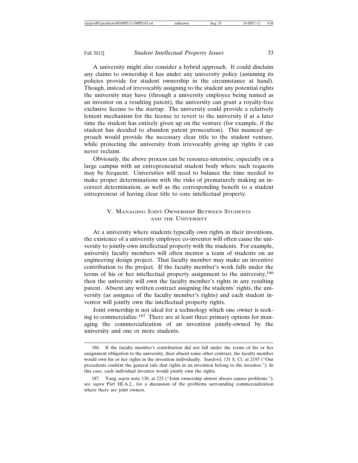A university might also consider a hybrid approach. It could disclaim any claims to ownership it has under any university policy (assuming its policies provide for student ownership in the circumstance at hand). Though, instead of irrevocably assigning to the student any potential rights the university may have (through a university employee being named as an inventor on a resulting patent), the university can grant a royalty-free exclusive license to the startup. The university could provide a relatively lenient mechanism for the license to revert to the university if at a later time the student has entirely given up on the venture (for example, if the student has decided to abandon patent prosecution). This nuanced approach would provide the necessary clear title to the student venture, while protecting the university from irrevocably giving up rights it can never reclaim.

Obviously, the above process can be resource-intensive, especially on a large campus with an entrepreneurial student body where such requests may be frequent. Universities will need to balance the time needed to make proper determinations with the risks of prematurely making an incorrect determination, as well as the corresponding benefit to a student entrepreneur of having clear title to core intellectual property.

#### V. MANAGING JOINT OWNERSHIP BETWEEN STUDENTS AND THE UNIVERSITY

At a university where students typically own rights in their inventions, the existence of a university employee co-inventor will often cause the university to jointly-own intellectual property with the students. For example, university faculty members will often mentor a team of students on an engineering design project. That faculty member may make an inventive contribution to the project. If the faculty member's work falls under the terms of his or her intellectual property assignment to the university,<sup>186</sup> then the university will own the faculty member's rights in any resulting patent. Absent any written contract assigning the students' rights, the university (as assignee of the faculty member's rights) and each student inventor will jointly own the intellectual property rights.

Joint ownership is not ideal for a technology which one owner is seeking to commercialize.187 There are at least three primary options for managing the commercialization of an invention jointly-owned by the university and one or more students.

<sup>186.</sup> If the faculty member's contribution did not fall under the terms of his or her assignment obligation to the university, then absent some other contract, the faculty member would own his or her rights in the invention individually. *Stanford*, 131 S. Ct. at 2195 ("Our precedents confirm the general rule that rights in an invention belong to the inventor."). In this case, each individual inventor would jointly own the rights.

<sup>187.</sup> Yang, *supra* note 130, at 225 ("Joint ownership almost always causes problems."); see *supra* Part III.A.2., for a discussion of the problems surrounding commercialization where there are joint owners.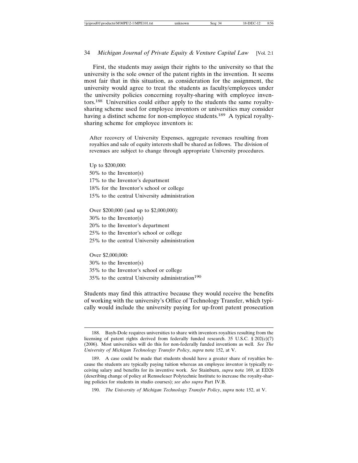First, the students may assign their rights to the university so that the university is the sole owner of the patent rights in the invention. It seems most fair that in this situation, as consideration for the assignment, the university would agree to treat the students as faculty/employees under the university policies concerning royalty-sharing with employee inventors.188 Universities could either apply to the students the same royaltysharing scheme used for employee inventors or universities may consider having a distinct scheme for non-employee students.<sup>189</sup> A typical royaltysharing scheme for employee inventors is:

After recovery of University Expenses, aggregate revenues resulting from royalties and sale of equity interests shall be shared as follows. The division of revenues are subject to change through appropriate University procedures.

Up to \$200,000: 50% to the Inventor(s) 17% to the Inventor's department 18% for the Inventor's school or college 15% to the central University administration

Over \$200,000 (and up to \$2,000,000): 30% to the Inventor(s) 20% to the Inventor's department 25% to the Inventor's school or college 25% to the central University administration

Over \$2,000,000: 30% to the Inventor(s) 35% to the Inventor's school or college  $35\%$  to the central University administration<sup>190</sup>

Students may find this attractive because they would receive the benefits of working with the university's Office of Technology Transfer, which typically would include the university paying for up-front patent prosecution

<sup>188.</sup> Bayh-Dole requires universities to share with inventors royalties resulting from the licensing of patent rights derived from federally funded research. 35 U.S.C.  $\S 202(c)(7)$ (2006). Most universities will do this for non-federally funded inventions as well. *See The University of Michigan Technology Transfer Policy*, *supra* note 152, at V.

<sup>189.</sup> A case could be made that students should have a greater share of royalties because the students are typically paying tuition whereas an employee inventor is typically receiving salary and benefits for its inventive work. *See* Stainburn, *supra* note 169, at ED26 (describing change of policy at Rensseleaer Polytechnic Institute to increase the royalty-sharing policies for students in studio courses); *see also supra* Part IV.B.

<sup>190.</sup> *The University of Michigan Technology Transfer Policy*, *supra* note 152, at V.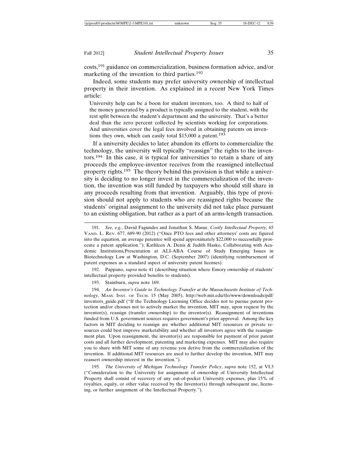costs,191 guidance on commercialization, business formation advice, and/or marketing of the invention to third parties.192

Indeed, some students may prefer university ownership of intellectual property in their invention. As explained in a recent New York Times article:

University help can be a boon for student inventors, too. A third to half of the money generated by a product is typically assigned to the student, with the rest split between the student's department and the university. That's a better deal than the zero percent collected by scientists working for corporations. And universities cover the legal fees involved in obtaining patents on inventions they own, which can easily total  $$15,000$  a patent.<sup>193</sup>

If a university decides to later abandon its efforts to commercialize the technology, the university will typically "reassign" the rights to the inventors.194 In this case, it is typical for universities to retain a share of any proceeds the employee-inventor receives from the reassigned intellectual property rights.195 The theory behind this provision is that while a university is deciding to no longer invest in the commercialization of the invention, the invention was still funded by taxpayers who should still share in any proceeds resulting from that invention. Arguably, this type of provision should not apply to students who are reassigned rights because the students' original assignment to the university did not take place pursuant to an existing obligation, but rather as a part of an arms-length transaction.

192. Pappano, *supra* note 41 (describing situation where Emory ownership of students' intellectual property provided benefits to students).

193. Stainburn, *supra* note 169.

194. *An Inventor's Guide to Technology Transfer at the Massachusetts Institute of Technology*, MASS. INST. OF TECH. 15 (May 2005), http://web.mit.edu/tlo/www/downloads/pdf/ inventors\_guide.pdf ("If the Technology Licensing Office decides not to pursue patent protection and/or chooses not to actively market the invention, MIT may, upon request by the inventor(s), reassign (transfer ownership) to the inventor(s). Reassignment of inventions funded from U.S. government sources requires government's prior approval. Among the key factors in MIT deciding to reassign are whether additional MIT resources or private resources could best improve marketability and whether all inventors agree with the reassignment plan. Upon reassignment, the inventor(s) are responsible for payment of prior patent costs and all further development, patenting and marketing expenses. MIT may also require you to share with MIT some of any revenue you derive from the commercialization of the invention. If additional MIT resources are used to further develop the invention, MIT may reassert ownership interest in the invention.").

195. *The University of Michigan Technology Transfer Policy*, *supra* note 152, at VI.3 ("Consideration to the University for assignment of ownership of University Intellectual Property shall consist of recovery of any out-of-pocket University expenses, plus 15% of royalties, equity, or other value received by the Inventor(s) through subsequent use, licensing, or further assignment of the Intellectual Property.").

<sup>191.</sup> *See, e.g.*, David Fagundes and Jonathan S. Masur, *Costly Intellectual Property,* 65 VAND. L. REV. 677, 689-90 (2012) ("Once PTO fees and other attorneys' costs are figured into the equation, an average patentee will spend approximately \$22,000 to successfully prosecute a patent application."); Kathleen A. Denis & Judith Hasko, Collaborating with Academic Institutions*,*Presentation at ALI-ABA Course of Study Emerging Issues in Biotechnology Law at Washington, D.C. (September 2007) (identifying reimbursement of patent expenses as a standard aspect of university patent licenses).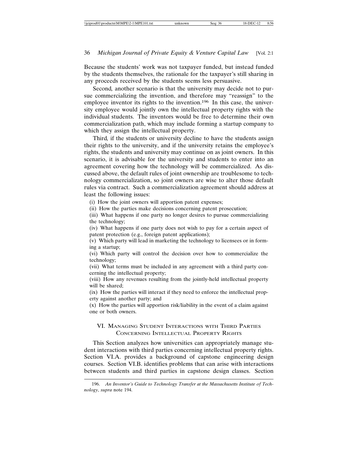Because the students' work was not taxpayer funded, but instead funded by the students themselves, the rationale for the taxpayer's still sharing in any proceeds received by the students seems less persuasive.

Second*,* another scenario is that the university may decide not to pursue commercializing the invention, and therefore may "reassign" to the employee inventor its rights to the invention.<sup>196</sup> In this case, the university employee would jointly own the intellectual property rights with the individual students. The inventors would be free to determine their own commercialization path, which may include forming a startup company to which they assign the intellectual property.

Third*,* if the students or university decline to have the students assign their rights to the university, and if the university retains the employee's rights, the students and university may continue on as joint owners. In this scenario, it is advisable for the university and students to enter into an agreement covering how the technology will be commercialized. As discussed above, the default rules of joint ownership are troublesome to technology commercialization, so joint owners are wise to alter those default rules via contract. Such a commercialization agreement should address at least the following issues:

(i) How the joint owners will apportion patent expenses;

(ii) How the parties make decisions concerning patent prosecution;

(iii) What happens if one party no longer desires to pursue commercializing the technology;

(iv) What happens if one party does not wish to pay for a certain aspect of patent protection (e.g., foreign patent applications);

(v) Which party will lead in marketing the technology to licensees or in forming a startup;

(vi) Which party will control the decision over how to commercialize the technology;

(vii) What terms must be included in any agreement with a third party concerning the intellectual property;

(viii) How any revenues resulting from the jointly-held intellectual property will be shared;

(ix) How the parties will interact if they need to enforce the intellectual property against another party; and

(x) How the parties will apportion risk/liability in the event of a claim against one or both owners.

#### VI. MANAGING STUDENT INTERACTIONS WITH THIRD PARTIES CONCERNING INTELLECTUAL PROPERTY RIGHTS

This Section analyzes how universities can appropriately manage student interactions with third parties concerning intellectual property rights. Section VI.A. provides a background of capstone engineering design courses. Section VI.B. identifies problems that can arise with interactions between students and third parties in capstone design classes. Section

<sup>196.</sup> *An Inventor's Guide to Technology Transfer at the Massachusetts Institute of Technology*, *supra* note 194.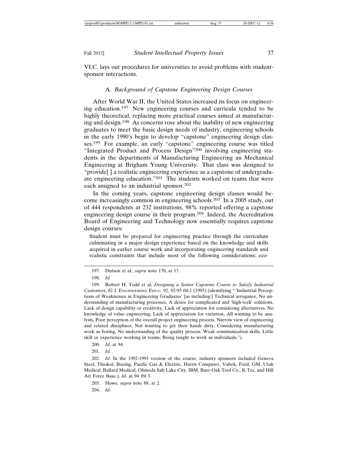VI.C. lays out procedures for universities to avoid problems with studentsponsor interactions.

#### A. *Background of Capstone Engineering Design Courses*

After World War II, the United States increased its focus on engineering education.197 New engineering courses and curricula tended to be highly theoretical, replacing more practical courses aimed at manufacturing and design.198 As concerns rose about the inability of new engineering graduates to meet the basic design needs of industry, engineering schools in the early 1990's begin to develop "capstone" engineering design classes.199 For example, an early "capstone" engineering course was titled "Integrated Product and Process Design"200 involving engineering students in the departments of Manufacturing Engineering an Mechanical Engineering at Brigham Young University. That class was designed to "provide[ ] a realistic engineering experience as a capstone of undergraduate engineering education."<sup>201</sup> The students worked on teams that were each assigned to an industrial sponsor.202

In the coming years, capstone engineering design classes would become increasingly common in engineering schools.203 In a 2005 study, out of 444 respondents at 232 institutions, 98% reported offering a capstone engineering design course in their program.204 Indeed, the Accreditation Board of Engineering and Technology now essentially requires capstone design courses:

Student must be prepared for engineering practice through the curriculum culminating in a major design experience based on the knowledge and skills acquired in earlier course work and incorporating engineering standards and realistic constraints that include most of the following considerations: eco-

201. *Id.*

204. *Id*.

<sup>197.</sup> Dutson et al., *supra* note 170, at 17.

<sup>198.</sup> *Id.*

<sup>199.</sup> Robert H. Todd et al, *Designing a Senior Capstone Course to Satisfy Industrial Customers*, 82 J. ENGINEERING EDUC. 92, 92-93 tbl.1 (1993) (identifying "'Industrial Perceptions of Weaknesses in Engineering Graduates' [as including:] Technical arrogance, No understanding of manufacturing processes, A desire for complicated and 'high-tech' solutions, Lack of design capability or creativity, Lack of appreciation for considering alternatives, No knowledge of value engineering, Lack of appreciation for variation, All wanting to be analysts, Poor perception of the overall project engineering process, Narrow view of engineering and related disciplines, Not wanting to get their hands dirty, Considering manufacturing work as boring, No understanding of the quality process, Weak communication skills, Little skill or experience working in teams, Being taught to work as individuals.").

<sup>200.</sup> *Id.* at 94.

<sup>202.</sup> *Id.* In the 1992-1993 version of the course, industry sponsors included Geneva Steel, Thiokol, Boeing, Pacific Gas & Electric, Harris Computer, Valtek, Ford, GM, Utah Medical, Ballard Medical, Ohmeda Salt Lake City, IBM, Burr-Oak Tool Co., K-Tec, and Hill Air Force Base.). *Id.* at 94 tbl 3.

<sup>203.</sup> Howe, *supra* note 88, at 2.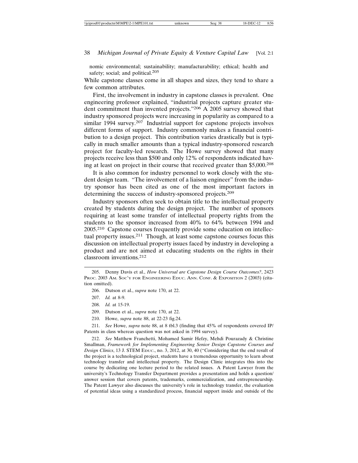nomic environmental; sustainability; manufacturability; ethical; health and safety; social; and political.<sup>205</sup>

While capstone classes come in all shapes and sizes, they tend to share a few common attributes.

First, the involvement in industry in capstone classes is prevalent. One engineering professor explained, "industrial projects capture greater student commitment than invented projects."206 A 2005 survey showed that industry sponsored projects were increasing in popularity as compared to a similar 1994 survey.<sup>207</sup> Industrial support for capstone projects involves different forms of support. Industry commonly makes a financial contribution to a design project. This contribution varies drastically but is typically in much smaller amounts than a typical industry-sponsored research project for faculty-led research. The Howe survey showed that many projects receive less than \$500 and only 12% of respondents indicated having at least on project in their course that received greater than \$5,000.208

It is also common for industry personnel to work closely with the student design team. "The involvement of a liaison engineer" from the industry sponsor has been cited as one of the most important factors in determining the success of industry-sponsored projects.209

Industry sponsors often seek to obtain title to the intellectual property created by students during the design project. The number of sponsors requiring at least some transfer of intellectual property rights from the students to the sponsor increased from 40% to 64% between 1994 and 2005.210 Capstone courses frequently provide some education on intellectual property issues.<sup>211</sup> Though, at least some capstone courses focus this discussion on intellectual property issues faced by industry in developing a product and are not aimed at educating students on the rights in their classroom inventions.212

208. *Id.* at 15-19.

209. Dutson et al., *supra* note 170, at 22.

210. Howe, *supra* note 88, at 22-23 fig.24.

211. *See* Howe, *supra* note 88, at 8 tbl.3 (finding that 45% of respondents covered IP/ Patents in class whereas question was not asked in 1994 survey).

212. *See* Matthew Franchetti, Mohamed Samir Hefzy, Mehdi Pourazady & Christine Smallman, *Framework for Implementing Engineering Senior Design Capstone Courses and Design Clinics*, 13 J. STEM EDUC., no. 3, 2012, at 30, 40 ("Considering that the end result of the project is a technological project, students have a tremendous opportunity to learn about technology transfer and intellectual property. The Design Clinic integrates this into the course by dedicating one lecture period to the related issues. A Patent Lawyer from the university's Technology Transfer Department provides a presentation and holds a question/ answer session that covers patents, trademarks, commercialization, and entrepreneurship. The Patent Lawyer also discusses the university's role in technology transfer, the evaluation of potential ideas using a standardized process, financial support inside and outside of the

<sup>205.</sup> Denny Davis et al., *How Universal are Capstone Design Course Outcomes?*, 2423 PROC. 2003 AM. SOC'Y FOR ENGINEERING EDUC. ANN. CONF. & EXPOSITION 2 (2003) (citation omitted).

<sup>206.</sup> Dutson et al., *supra* note 170, at 22.

<sup>207.</sup> *Id.* at 8-9.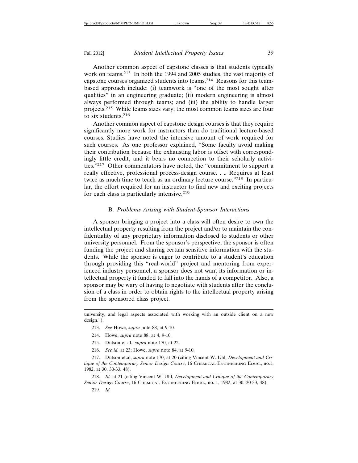Another common aspect of capstone classes is that students typically work on teams.<sup>213</sup> In both the 1994 and 2005 studies, the vast majority of capstone courses organized students into teams.214 Reasons for this teambased approach include: (i) teamwork is "one of the most sought after qualities" in an engineering graduate; (ii) modern engineering is almost always performed through teams; and (iii) the ability to handle larger projects.215 While teams sizes vary, the most common teams sizes are four to six students.216

Another common aspect of capstone design courses is that they require significantly more work for instructors than do traditional lecture-based courses. Studies have noted the intensive amount of work required for such courses. As one professor explained, "Some faculty avoid making their contribution because the exhausting labor is offset with correspondingly little credit, and it bears no connection to their scholarly activities."217 Other commentators have noted, the "commitment to support a really effective, professional process-design course. . .. Requires at least twice as much time to teach as an ordinary lecture course."218 In particular, the effort required for an instructor to find new and exciting projects for each class is particularly intensive.219

#### B. *Problems Arising with Student-Sponsor Interactions*

A sponsor bringing a project into a class will often desire to own the intellectual property resulting from the project and/or to maintain the confidentiality of any proprietary information disclosed to students or other university personnel. From the sponsor's perspective, the sponsor is often funding the project and sharing certain sensitive information with the students. While the sponsor is eager to contribute to a student's education through providing this "real-world" project and mentoring from experienced industry personnel, a sponsor does not want its information or intellectual property it funded to fall into the hands of a competitor. Also, a sponsor may be wary of having to negotiate with students after the conclusion of a class in order to obtain rights to the intellectual property arising from the sponsored class project.

- 214. Howe, *supra* note 88, at 4, 9-10.
- 215. Dutson et al., *supra* note 170, at 22.
- 216. *See id.* at 23; Howe, *supra* note 84, at 9-10.

217. Dutson et.al, *supra* note 170, at 20 (citing Vincent W. Uhl, *Development and Critique of the Contemporary Senior Design Course*, 16 CHEMICAL ENGINEERING EDUC., no.1, 1982, at 30, 30-33, 48).

218. *Id.* at 21 (citing Vincent W. Uhl, *Development and Critique of the Contemporary Senior Design Course*, 16 CHEMICAL ENGINEERING EDUC., no. 1, 1982, at 30, 30-33, 48).

219. *Id.*

university, and legal aspects associated with working with an outside client on a new design.").

<sup>213.</sup> *See* Howe, *supra* note 88, at 9-10.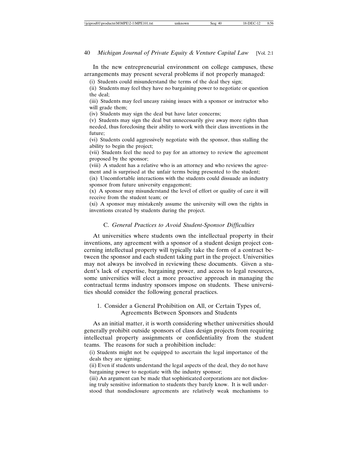In the new entrepreneurial environment on college campuses, these arrangements may present several problems if not properly managed:

(i) Students could misunderstand the terms of the deal they sign;

(ii) Students may feel they have no bargaining power to negotiate or question the deal;

(iii) Students may feel uneasy raising issues with a sponsor or instructor who will grade them;

(iv) Students may sign the deal but have later concerns;

(v) Students may sign the deal but unnecessarily give away more rights than needed, thus foreclosing their ability to work with their class inventions in the future;

(vi) Students could aggressively negotiate with the sponsor, thus stalling the ability to begin the project;

(vii) Students feel the need to pay for an attorney to review the agreement proposed by the sponsor;

(viii) A student has a relative who is an attorney and who reviews the agreement and is surprised at the unfair terms being presented to the student;

(ix) Uncomfortable interactions with the students could dissuade an industry sponsor from future university engagement;

(x) A sponsor may misunderstand the level of effort or quality of care it will receive from the student team; or

(xi) A sponsor may mistakenly assume the university will own the rights in inventions created by students during the project.

#### C. *General Practices to Avoid Student-Sponsor Difficulties*

At universities where students own the intellectual property in their inventions, any agreement with a sponsor of a student design project concerning intellectual property will typically take the form of a contract between the sponsor and each student taking part in the project. Universities may not always be involved in reviewing these documents. Given a student's lack of expertise, bargaining power, and access to legal resources, some universities will elect a more proactive approach in managing the contractual terms industry sponsors impose on students. These universities should consider the following general practices.

1. Consider a General Prohibition on All, or Certain Types of, Agreements Between Sponsors and Students

As an initial matter, it is worth considering whether universities should generally prohibit outside sponsors of class design projects from requiring intellectual property assignments or confidentiality from the student teams. The reasons for such a prohibition include:

(i) Students might not be equipped to ascertain the legal importance of the deals they are signing;

(ii) Even if students understand the legal aspects of the deal, they do not have bargaining power to negotiate with the industry sponsor;

(iii) An argument can be made that sophisticated corporations are not disclosing truly sensitive information to students they barely know. It is well understood that nondisclosure agreements are relatively weak mechanisms to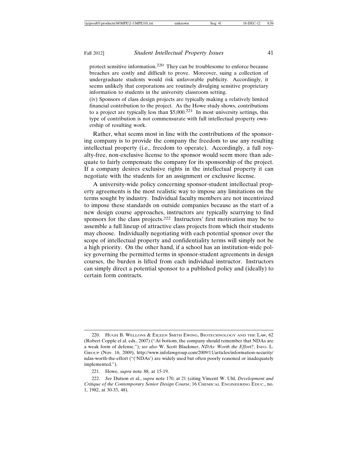protect sensitive information.<sup>220</sup> They can be troublesome to enforce because breaches are costly and difficult to prove. Moreover, suing a collection of undergraduate students would risk unfavorable publicity. Accordingly, it seems unlikely that corporations are routinely divulging sensitive proprietary information to students in the university classroom setting.

(iv) Sponsors of class design projects are typically making a relatively limited financial contribution to the project. As the Howe study shows, contributions to a project are typically less than  $$5,000<sup>.221</sup>$  In most university settings, this type of contribution is not commensurate with full intellectual property ownership of resulting work.

Rather, what seems most in line with the contributions of the sponsoring company is to provide the company the freedom to use any resulting intellectual property (i.e., freedom to operate). Accordingly, a full royalty-free, non-exclusive license to the sponsor would seem more than adequate to fairly compensate the company for its sponsorship of the project. If a company desires exclusive rights in the intellectual property it can negotiate with the students for an assignment or exclusive license.

A university-wide policy concerning sponsor-student intellectual property agreements is the most realistic way to impose any limitations on the terms sought by industry. Individual faculty members are not incentivized to impose these standards on outside companies because as the start of a new design course approaches, instructors are typically scurrying to find sponsors for the class projects.<sup>222</sup> Instructors' first motivation may be to assemble a full lineup of attractive class projects from which their students may choose. Individually negotiating with each potential sponsor over the scope of intellectual property and confidentiality terms will simply not be a high priority. On the other hand, if a school has an institution-wide policy governing the permitted terms in sponsor-student agreements in design courses, the burden is lifted from each individual instructor. Instructors can simply direct a potential sponsor to a published policy and (ideally) to certain form contracts.

<sup>220.</sup> HUGH B. WELLONS & EILEEN SMITH EWING, BIOTECHNOLOGY AND THE LAW, 62 (Robert Copple el al. eds., 2007) ("At bottom, the company should remember that NDAs are a weak form of defense."); *see also* W. Scott Blackmer, *NDAs: Worth the Effort?*, INFO. L. GROUP (Nov. 16, 2009), http://www.infolawgroup.com/2009/11/articles/information-security/ ndas-worth-the-effort ("('NDAs') are widely used but often poorly reasoned or inadequately implemented.").

<sup>221.</sup> Howe, *supra* note 88, at 15-19.

<sup>222.</sup> *See* Dutson et al., *supra* note 170, at 21 (citing Vincent W. Uhl, *Development and Critique of the Contemporary Senior Design Course*, 16 CHEMICAL ENGINEERING EDUC., no. 1, 1982, at 30-33, 48).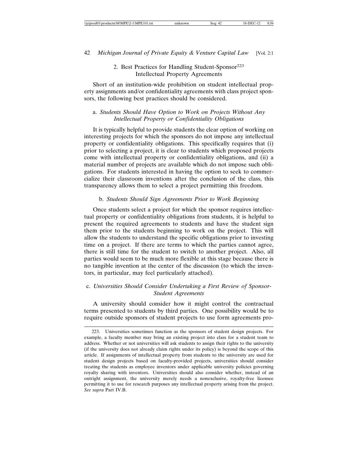#### 2. Best Practices for Handling Student-Sponsor<sup>223</sup> Intellectual Property Agreements

Short of an institution-wide prohibition on student intellectual property assignments and/or confidentiality agreements with class project sponsors, the following best practices should be considered.

#### a. *Students Should Have Option to Work on Projects Without Any Intellectual Property or Confidentiality Obligations*

It is typically helpful to provide students the clear option of working on interesting projects for which the sponsors do not impose any intellectual property or confidentiality obligations. This specifically requires that (i) prior to selecting a project, it is clear to students which proposed projects come with intellectual property or confidentiality obligations, and (ii) a material number of projects are available which do not impose such obligations. For students interested in having the option to seek to commercialize their classroom inventions after the conclusion of the class, this transparency allows them to select a project permitting this freedom.

#### b. *Students Should Sign Agreements Prior to Work Beginning*

Once students select a project for which the sponsor requires intellectual property or confidentiality obligations from students, it is helpful to present the required agreements to students and have the student sign them prior to the students beginning to work on the project. This will allow the students to understand the specific obligations prior to investing time on a project. If there are terms to which the parties cannot agree, there is still time for the student to switch to another project. Also, all parties would seem to be much more flexible at this stage because there is no tangible invention at the center of the discussion (to which the inventors, in particular, may feel particularly attached).

#### c. *Universities Should Consider Undertaking a First Review of Sponsor-Student Agreements*

A university should consider how it might control the contractual terms presented to students by third parties. One possibility would be to require outside sponsors of student projects to use form agreements pro-

<sup>223.</sup> Universities sometimes function as the sponsors of student design projects. For example, a faculty member may bring an existing project into class for a student team to address. Whether or not universities will ask students to assign their rights to the university (if the university does not already claim rights under its policy) is beyond the scope of this article. If assignments of intellectual property from students to the university are used for student design projects based on faculty-provided projects, universities should consider treating the students as employee inventors under applicable university policies governing royalty sharing with inventors. Universities should also consider whether, instead of an outright assignment, the university merely needs a nonexclusive, royalty-free licensee permitting it to use for research purposes any intellectual property arising from the project. *See supra* Part IV.B.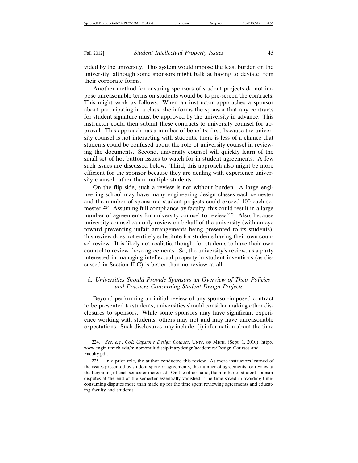vided by the university. This system would impose the least burden on the university, although some sponsors might balk at having to deviate from their corporate forms.

Another method for ensuring sponsors of student projects do not impose unreasonable terms on students would be to pre-screen the contracts. This might work as follows. When an instructor approaches a sponsor about participating in a class, she informs the sponsor that any contracts for student signature must be approved by the university in advance. This instructor could then submit these contracts to university counsel for approval. This approach has a number of benefits: first*,* because the university counsel is not interacting with students, there is less of a chance that students could be confused about the role of university counsel in reviewing the documents. Second, university counsel will quickly learn of the small set of hot button issues to watch for in student agreements. A few such issues are discussed below. Third, this approach also might be more efficient for the sponsor because they are dealing with experience university counsel rather than multiple students.

On the flip side, such a review is not without burden. A large engineering school may have many engineering design classes each semester and the number of sponsored student projects could exceed 100 each semester.224 Assuming full compliance by faculty, this could result in a large number of agreements for university counsel to review.225 Also, because university counsel can only review on behalf of the university (with an eye toward preventing unfair arrangements being presented to its students), this review does not entirely substitute for students having their own counsel review. It is likely not realistic, though, for students to have their own counsel to review these agreements. So, the university's review, as a party interested in managing intellectual property in student inventions (as discussed in Section II.C) is better than no review at all.

#### d. *Universities Should Provide Sponsors an Overview of Their Policies and Practices Concerning Student Design Projects*

Beyond performing an initial review of any sponsor-imposed contract to be presented to students, universities should consider making other disclosures to sponsors. While some sponsors may have significant experience working with students, others may not and may have unreasonable expectations. Such disclosures may include: (i) information about the time

<sup>224.</sup> *See, e.g.*, *CoE Capstone Design Courses*, UNIV. OF MICH. (Sept. 1, 2010), http:// www.engin.umich.edu/minors/multidisciplinarydesign/academics/Design-Courses-and-Faculty.pdf.

<sup>225.</sup> In a prior role, the author conducted this review. As more instructors learned of the issues presented by student-sponsor agreements, the number of agreements for review at the beginning of each semester increased. On the other hand, the number of student-sponsor disputes at the end of the semester essentially vanished. The time saved in avoiding timeconsuming disputes more than made up for the time spent reviewing agreements and educating faculty and students.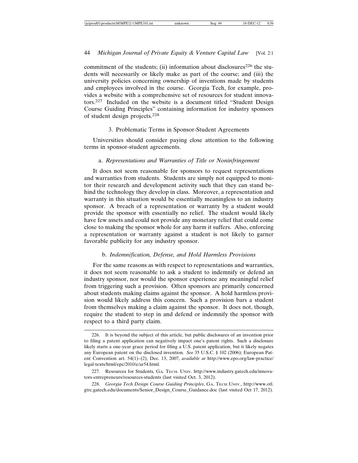commitment of the students; (ii) information about disclosures<sup>226</sup> the students will necessarily or likely make as part of the course; and (iii) the university policies concerning ownership of inventions made by students and employees involved in the course. Georgia Tech, for example, provides a website with a comprehensive set of resources for student innovators.227 Included on the website is a document titled "Student Design Course Guiding Principles" containing information for industry sponsors of student design projects.228

#### 3. Problematic Terms in Sponsor-Student Agreements

Universities should consider paying close attention to the following terms in sponsor-student agreements.

#### a. *Representations and Warranties of Title or Noninfringement*

It does not seem reasonable for sponsors to request representations and warranties from students. Students are simply not equipped to monitor their research and development activity such that they can stand behind the technology they develop in class. Moreover, a representation and warranty in this situation would be essentially meaningless to an industry sponsor. A breach of a representation or warranty by a student would provide the sponsor with essentially no relief. The student would likely have few assets and could not provide any monetary relief that could come close to making the sponsor whole for any harm it suffers. Also, enforcing a representation or warranty against a student is not likely to garner favorable publicity for any industry sponsor.

#### b. *Indemnification, Defense, and Hold Harmless Provisions*

For the same reasons as with respect to representations and warranties, it does not seem reasonable to ask a student to indemnify or defend an industry sponsor, nor would the sponsor experience any meaningful relief from triggering such a provision. Often sponsors are primarily concerned about students making claims against the sponsor. A hold harmless provision would likely address this concern. Such a provision bars a student from themselves making a claim against the sponsor. It does not, though, require the student to step in and defend or indemnify the sponsor with respect to a third party claim.

<sup>226.</sup> It is beyond the subject of this article, but public disclosures of an invention prior to filing a patent application can negatively impact one's patent rights. Such a disclosure likely starts a one-year grace period for filing a U.S. patent application, but it likely negates any European patent on the disclosed invention. *See* 35 U.S.C. § 102 (2006); European Patent Convention art. 54(1)–(2), Dec. 13, 2007, *available at* http://www.epo.org/law-practice/ legal-texts/html/epc/2010/e/ar54.html.

<sup>227.</sup> Resources for Students*,* GA. TECH. UNIV. http://www.industry.gatech.edu/innovators-entrepreneurs/resources-students (last visited Oct. 3, 2012).

<sup>228.</sup> *Georgia Tech Design Course Guiding Principles*, GA. TECH UNIV., http://www.otl. gtrc.gatech.edu/documents/Senior\_Design\_Course\_Guidance.doc (last visited Oct 17, 2012).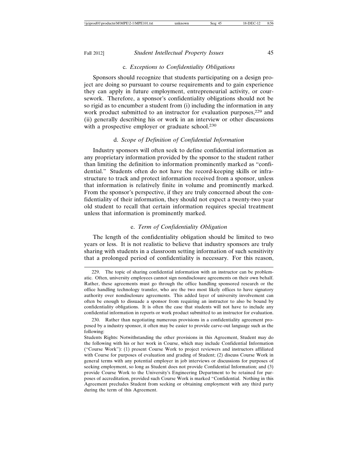#### c. *Exceptions to Confidentiality Obligations*

Sponsors should recognize that students participating on a design project are doing so pursuant to course requirements and to gain experience they can apply in future employment, entrepreneurial activity, or coursework. Therefore, a sponsor's confidentiality obligations should not be so rigid as to encumber a student from (i) including the information in any work product submitted to an instructor for evaluation purposes,<sup>229</sup> and (ii) generally describing his or work in an interview or other discussions with a prospective employer or graduate school.<sup>230</sup>

#### d. *Scope of Definition of Confidential Information*

Industry sponsors will often seek to define confidential information as any proprietary information provided by the sponsor to the student rather than limiting the definition to information prominently marked as "confidential." Students often do not have the record-keeping skills or infrastructure to track and protect information received from a sponsor, unless that information is relatively finite in volume and prominently marked. From the sponsor's perspective, if they are truly concerned about the confidentiality of their information, they should not expect a twenty-two year old student to recall that certain information requires special treatment unless that information is prominently marked.

### e. *Term of Confidentiality Obligation*

The length of the confidentiality obligation should be limited to two years or less. It is not realistic to believe that industry sponsors are truly sharing with students in a classroom setting information of such sensitivity that a prolonged period of confidentiality is necessary. For this reason,

<sup>229.</sup> The topic of sharing confidential information with an instructor can be problematic. Often, university employees cannot sign nondisclosure agreements on their own behalf. Rather, these agreements must go through the office handling sponsored research or the office handling technology transfer, who are the two most likely offices to have signatory authority over nondisclosure agreements. This added layer of university involvement can often be enough to dissuade a sponsor from requiring an instructor to also be bound by confidentiality obligations. It is often the case that students will not have to include any confidential information in reports or work product submitted to an instructor for evaluation.

<sup>230.</sup> Rather than negotiating numerous provisions in a confidentiality agreement proposed by a industry sponsor, it often may be easier to provide carve-out language such as the following:

Students Rights: Notwithstanding the other provisions in this Agreement, Student may do the following with his or her work in Course, which may include Confidential Information ("Course Work"): (1) present Course Work to project reviewers and instructors affiliated with Course for purposes of evaluation and grading of Student; (2) discuss Course Work in general terms with any potential employer in job interviews or discussions for purposes of seeking employment, so long as Student does not provide Confidential Information; and (3) provide Course Work to the University's Engineering Department to be retained for purposes of accreditation, provided such Course Work is marked "Confidential. Nothing in this Agreement precludes Student from seeking or obtaining employment with any third party during the term of this Agreement.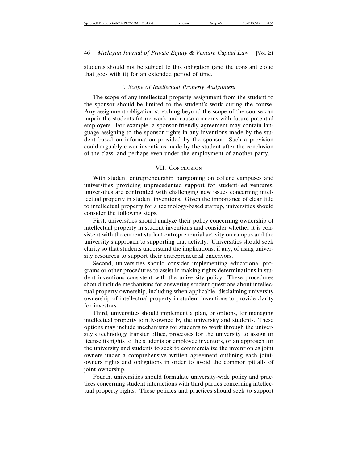students should not be subject to this obligation (and the constant cloud that goes with it) for an extended period of time.

#### f. *Scope of Intellectual Property Assignment*

The scope of any intellectual property assignment from the student to the sponsor should be limited to the student's work during the course. Any assignment obligation stretching beyond the scope of the course can impair the students future work and cause concerns with future potential employers. For example, a sponsor-friendly agreement may contain language assigning to the sponsor rights in any inventions made by the student based on information provided by the sponsor. Such a provision could arguably cover inventions made by the student after the conclusion of the class, and perhaps even under the employment of another party.

### VII. CONCLUSION

With student entrepreneurship burgeoning on college campuses and universities providing unprecedented support for student-led ventures, universities are confronted with challenging new issues concerning intellectual property in student inventions. Given the importance of clear title to intellectual property for a technology-based startup, universities should consider the following steps.

First, universities should analyze their policy concerning ownership of intellectual property in student inventions and consider whether it is consistent with the current student entrepreneurial activity on campus and the university's approach to supporting that activity. Universities should seek clarity so that students understand the implications, if any, of using university resources to support their entrepreneurial endeavors.

Second, universities should consider implementing educational programs or other procedures to assist in making rights determinations in student inventions consistent with the university policy. These procedures should include mechanisms for answering student questions about intellectual property ownership, including when applicable, disclaiming university ownership of intellectual property in student inventions to provide clarity for investors.

Third, universities should implement a plan, or options, for managing intellectual property jointly-owned by the university and students. These options may include mechanisms for students to work through the university's technology transfer office, processes for the university to assign or license its rights to the students or employee inventors, or an approach for the university and students to seek to commercialize the invention as joint owners under a comprehensive written agreement outlining each jointowners rights and obligations in order to avoid the common pitfalls of joint ownership.

Fourth, universities should formulate university-wide policy and practices concerning student interactions with third parties concerning intellectual property rights. These policies and practices should seek to support